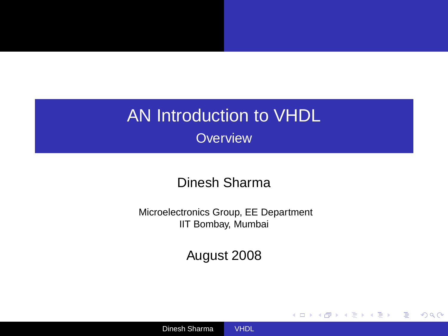### AN Introduction to VHDL **Overview**

#### Dinesh Sharma

Microelectronics Group, EE Department IIT Bombay, Mumbai

August 2008

<span id="page-0-0"></span>(ロ)→(部)→(語)→(語)→(

÷.

 $2Q$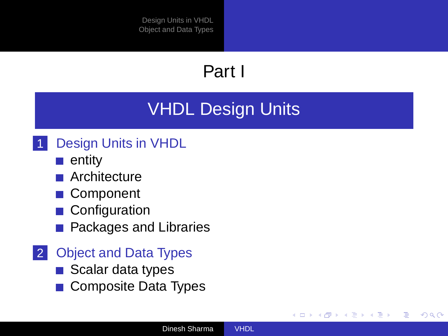# Part I

# [VHDL Design Units](#page-1-0)

### [Design Units in VHDL](#page-2-0)

- $\blacksquare$  [entity](#page-3-0)
- **[Architecture](#page-6-0)**
- **[Component](#page-9-0)**
- [Configuration](#page-11-0)
- **[Packages and Libraries](#page-12-0)**
- 2 [Object and Data Types](#page-14-0)
	- [Scalar data types](#page-16-0)
	- [Composite Data Types](#page-22-0)

<span id="page-1-0"></span>イロト イ押 トイヨ トイヨト

Þ  $QQ$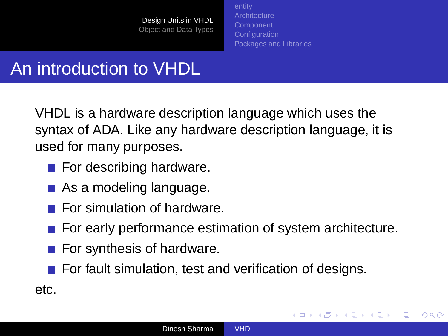**[Architecture](#page-6-0) [Component](#page-9-0) [Configuration](#page-11-0)** [Packages and Libraries](#page-12-0)

<span id="page-2-0"></span>イロト イ押 トイヨ トイヨト

 $2Q$ 

# An introduction to VHDL

VHDL is a hardware description language which uses the syntax of ADA. Like any hardware description language, it is used for many purposes.

- $\blacksquare$  For describing hardware.
- As a modeling language.
- $\blacksquare$  For simulation of hardware.
- For early performance estimation of system architecture.
- $\blacksquare$  For synthesis of hardware.
- $\blacksquare$  For fault simulation, test and verification of designs.

etc.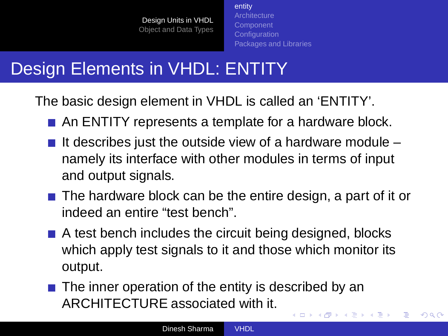[entity](#page-3-0) **[Architecture](#page-6-0) [Component](#page-9-0) [Configuration](#page-11-0)** [Packages and Libraries](#page-12-0)

<span id="page-3-0"></span> $2Q$ 

# Design Elements in VHDL: ENTITY

The basic design element in VHDL is called an 'ENTITY'.

- An ENTITY represents a template for a hardware block.
- If describes just the outside view of a hardware module  $$ namely its interface with other modules in terms of input and output signals.
- $\blacksquare$  The hardware block can be the entire design, a part of it or indeed an entire "test bench".
- A test bench includes the circuit being designed, blocks which apply test signals to it and those which monitor its output.
- $\blacksquare$  The inner operation of the entity is described by an ARCHITECTURE associated with it.  $\left\{ \begin{array}{ccc} 1 & 0 & 0 \\ 0 & 1 & 0 \end{array} \right.$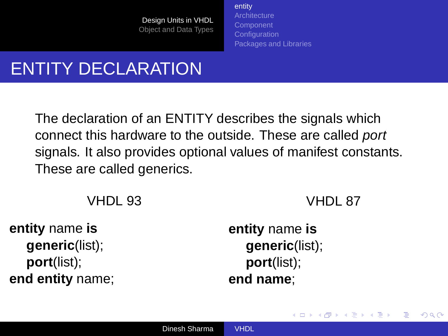[entity](#page-3-0) **[Architecture](#page-6-0)** [Component](#page-9-0) **[Configuration](#page-11-0)** [Packages and Libraries](#page-12-0)

# ENTITY DECLARATION

The declaration of an ENTITY describes the signals which connect this hardware to the outside. These are called port signals. It also provides optional values of manifest constants. These are called generics.

VHDL 93

VHDL 87

イロト イ押 トイヨ トイヨト

 $QQ$ 

**entity** name **is generic**(list); **port**(list); **end entity** name; **entity** name **is generic**(list); **port**(list); **end name**;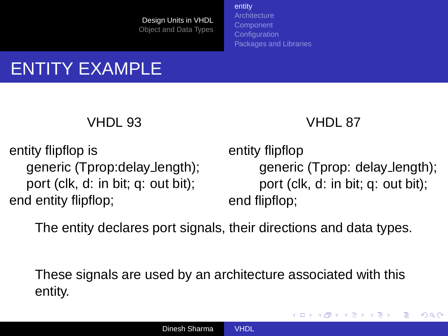[entity](#page-3-0) **[Architecture](#page-6-0)** [Component](#page-9-0) **[Configuration](#page-11-0)** [Packages and Libraries](#page-12-0)

# ENTITY EXAMPLE

#### VHDL 93

### VHDL 87

entity flipflop is generic (Tprop:delay length); port (clk, d: in bit; q: out bit); end entity flipflop;

entity flipflop generic (Tprop: delay length); port (clk, d: in bit; q: out bit); end flipflop;

**≮ロト ⊀伊ト ⊀ ヨト ⊀ ヨト** 

 $QQ$ 

The entity declares port signals, their directions and data types.

These signals are used by an architecture associated with this entity.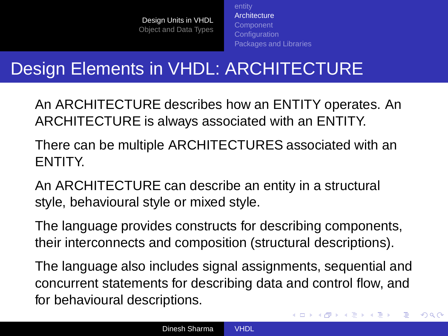**[Architecture](#page-6-0)** [Component](#page-9-0) **[Configuration](#page-11-0)** [Packages and Libraries](#page-12-0)

# Design Elements in VHDL: ARCHITECTURE

An ARCHITECTURE describes how an ENTITY operates. An ARCHITECTURE is always associated with an ENTITY.

There can be multiple ARCHITECTURES associated with an ENTITY.

An ARCHITECTURE can describe an entity in a structural style, behavioural style or mixed style.

The language provides constructs for describing components, their interconnects and composition (structural descriptions).

The language also includes signal assignments, sequential and concurrent statements for describing data and control flow, and for behavioural descriptions.

<span id="page-6-0"></span> $\left\{ \begin{array}{ccc} 1 & 0 & 0 \\ 0 & 1 & 0 \end{array} \right.$ 

 $QQ$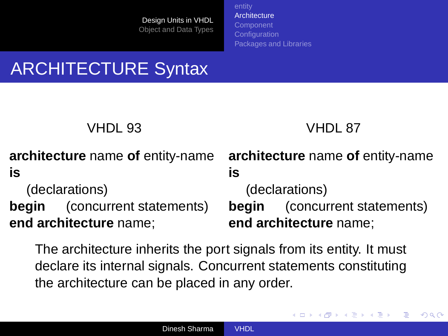**[Architecture](#page-6-0)** [Component](#page-9-0) **[Configuration](#page-11-0)** [Packages and Libraries](#page-12-0)

# ARCHITECTURE Syntax

VHDL 87

イロト イ押 トイヨ トイヨト

 $2Q$ 

э

|                        |                                      | architecture name of entity-name architecture name of entity-name |                                      |
|------------------------|--------------------------------------|-------------------------------------------------------------------|--------------------------------------|
| is                     |                                      | ıs                                                                |                                      |
| (declarations)         |                                      | (declarations)                                                    |                                      |
|                        | <b>begin</b> (concurrent statements) |                                                                   | <b>begin</b> (concurrent statements) |
| end architecture name; |                                      | end architecture name;                                            |                                      |

The architecture inherits the port signals from its entity. It must declare its internal signals. Concurrent statements constituting the architecture can be placed in any order.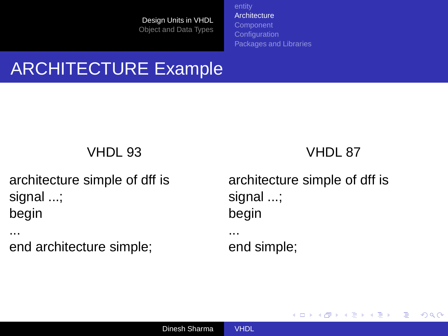**[Architecture](#page-6-0)** [Component](#page-9-0) **[Configuration](#page-11-0)** [Packages and Libraries](#page-12-0)

## ARCHITECTURE Example

VHDL 93

architecture simple of dff is signal ...; begin

... end architecture simple; VHDL 87

<span id="page-8-0"></span>**K ロ ト K 御 ト K 君 ト K 君 ト** 

Þ

 $2Q$ 

architecture simple of dff is signal ...; begin ... end simple;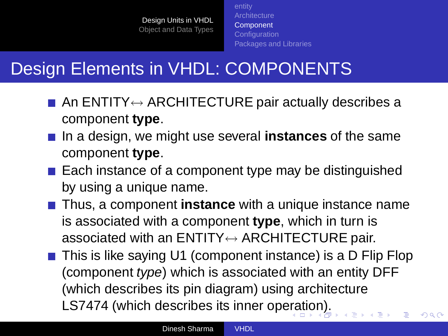**[Architecture](#page-6-0)** [Component](#page-9-0) **[Configuration](#page-11-0)** [Packages and Libraries](#page-12-0)

# Design Elements in VHDL: COMPONENTS

- An ENTITY $\leftrightarrow$  ARCHITECTURE pair actually describes a component **type**.
- In a design, we might use several **instances** of the same component **type**.
- $\blacksquare$  Each instance of a component type may be distinguished by using a unique name.
- **Thus, a component instance** with a unique instance name is associated with a component **type**, which in turn is associated with an  $ENTITY \leftrightarrow ARCHITECTURE$  pair.
- This is like saying U1 (component instance) is a D Flip Flop (component type) which is associated with an entity DFF (which describes its pin diagram) using architecture LS7474 (which describes its inner op[era](#page-8-0)t[io](#page-10-0)[n](#page-8-0)[\).](#page-9-0)

<span id="page-9-0"></span> $\Omega$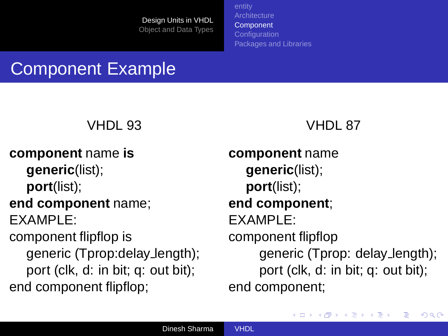**[Architecture](#page-6-0)** [Component](#page-9-0) **[Configuration](#page-11-0)** [Packages and Libraries](#page-12-0)

## Component Example

### VHDL 93

**component** name **is generic**(list); **port**(list);

#### **end component** name; EXAMPLE:

component flipflop is generic (Tprop:delay length); port (clk, d: in bit; q: out bit); end component flipflop;

#### VHDL 87

**component** name **generic**(list); **port**(list); **end component**; EXAMPLE: component flipflop generic (Tprop: delay length); port (clk, d: in bit; q: out bit); end component;

<span id="page-10-0"></span>イロン イ母ン イ君ン イ君ン

 $QQ$ 

э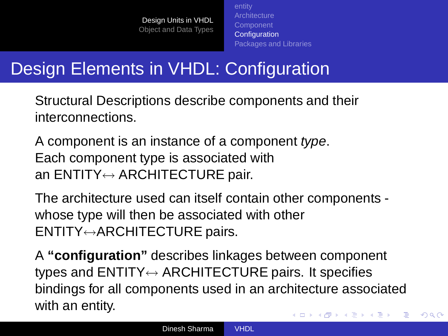**[Architecture](#page-6-0) [Component](#page-9-0) [Configuration](#page-11-0)** [Packages and Libraries](#page-12-0)

<span id="page-11-0"></span> $QQ$ 

# Design Elements in VHDL: Configuration

Structural Descriptions describe components and their interconnections.

A component is an instance of a component type. Each component type is associated with an  $ENTITY \leftrightarrow ARCHITECTURE$  pair.

The architecture used can itself contain other components whose type will then be associated with other ENTITY↔ARCHITECTURE pairs.

A **"configuration"** describes linkages between component types and  $ENTITY \leftrightarrow ARCHITECTURE$  pairs. It specifies bindings for all components used in an architecture associated with an entity. イロト イ押 トイヨ トイヨ トー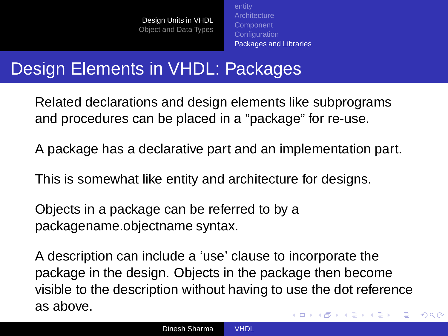**[Architecture](#page-6-0)** [Component](#page-9-0) **[Configuration](#page-11-0)** [Packages and Libraries](#page-12-0)

## Design Elements in VHDL: Packages

Related declarations and design elements like subprograms and procedures can be placed in a "package" for re-use.

A package has a declarative part and an implementation part.

This is somewhat like entity and architecture for designs.

Objects in a package can be referred to by a packagename.objectname syntax.

A description can include a 'use' clause to incorporate the package in the design. Objects in the package then become visible to the description without having to use the dot reference as above. イロト イ押 トイヨ トイヨト

<span id="page-12-0"></span> $QQ$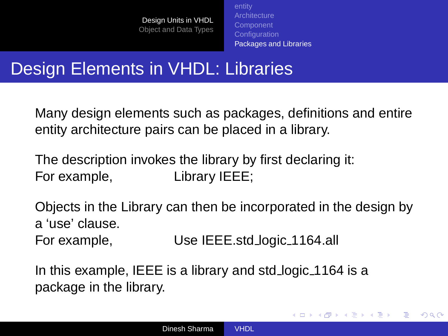**[Architecture](#page-6-0) [Configuration](#page-11-0)** [Packages and Libraries](#page-12-0)

イロト イ押 トイヨ トイヨト

 $2Q$ 

## Design Elements in VHDL: Libraries

Many design elements such as packages, definitions and entire entity architecture pairs can be placed in a library.

The description invokes the library by first declaring it: For example, Library IEEE;

Objects in the Library can then be incorporated in the design by a 'use' clause.

For example, Use IEEE.std logic 1164.all

In this example, IEEE is a library and std logic 1164 is a package in the library.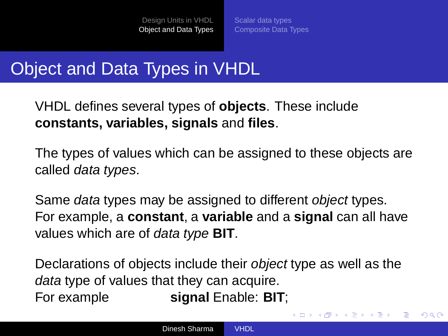[Scalar data types](#page-16-0) [Composite Data Types](#page-22-0)

## Object and Data Types in VHDL

VHDL defines several types of **objects**. These include **constants, variables, signals** and **files**.

The types of values which can be assigned to these objects are called data types.

Same data types may be assigned to different object types. For example, a **constant**, a **variable** and a **signal** can all have values which are of data type **BIT**.

Declarations of objects include their object type as well as the data type of values that they can acquire. For example **signal** Enable: **BIT**;

<span id="page-14-0"></span>

B

 $2Q$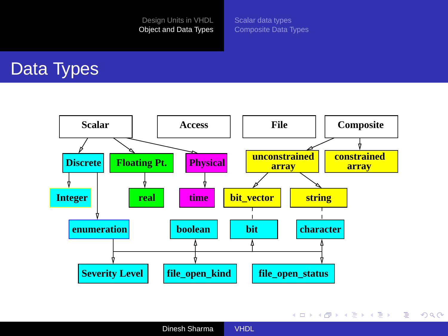[Scalar data types](#page-16-0) [Composite Data Types](#page-22-0)

### Data Types



Dinesh Sharma [VHDL](#page-0-0)

<span id="page-15-0"></span>イロトメ 倒 トメ 差 トメ 差 トー 差し

 $2990$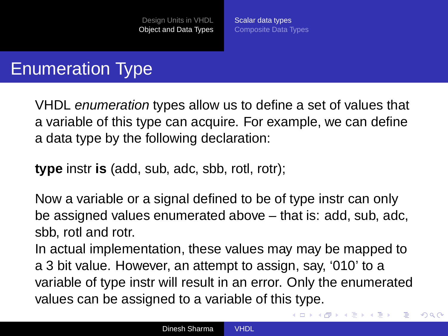[Scalar data types](#page-16-0) [Composite Data Types](#page-22-0)

## Enumeration Type

VHDL enumeration types allow us to define a set of values that a variable of this type can acquire. For example, we can define a data type by the following declaration:

**type** instr **is** (add, sub, adc, sbb, rotl, rotr);

Now a variable or a signal defined to be of type instr can only be assigned values enumerated above – that is: add, sub, adc, sbb, rotl and rotr.

In actual implementation, these values may may be mapped to a 3 bit value. However, an attempt to assign, say, '010' to a variable of type instr will result in an error. Only the enumerated values can be assigned to a variable of this type.

<span id="page-16-0"></span>**K 日 ト K 伊 ト K ヨ ト K ヨ ト** 

 $QQ$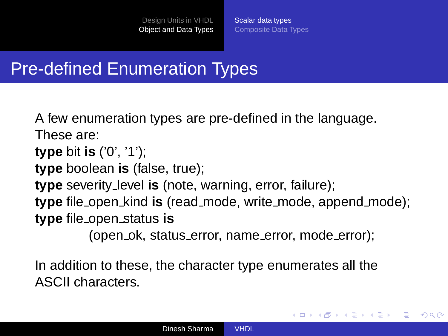[Scalar data types](#page-16-0) [Composite Data Types](#page-22-0)

### Pre-defined Enumeration Types

A few enumeration types are pre-defined in the language. These are:

**type** bit **is** ('0', '1');

**type** boolean **is** (false, true);

**type** severity level **is** (note, warning, error, failure);

**type** file open kind **is** (read mode, write mode, append mode); **type** file open status **is**

(open ok, status error, name error, mode error);

イロト イ押 トイヨ トイヨト

 $2Q$ 

In addition to these, the character type enumerates all the ASCII characters.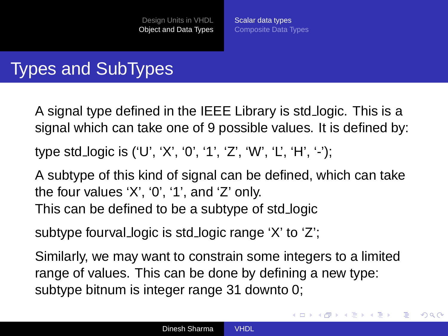[Scalar data types](#page-16-0) [Composite Data Types](#page-22-0)

イロメ イ押メ イヨメ イヨメー

 $2Q$ 

## Types and SubTypes

A signal type defined in the IEEE Library is std logic. This is a signal which can take one of 9 possible values. It is defined by:

type std logic is ('U', 'X', '0', '1', 'Z', 'W', 'L', 'H', '-');

A subtype of this kind of signal can be defined, which can take the four values 'X', '0', '1', and 'Z' only. This can be defined to be a subtype of std logic

subtype fourval logic is std logic range 'X' to 'Z';

Similarly, we may want to constrain some integers to a limited range of values. This can be done by defining a new type: subtype bitnum is integer range 31 downto 0;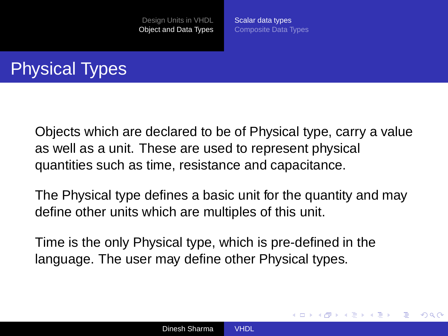[Scalar data types](#page-16-0) [Composite Data Types](#page-22-0)

<span id="page-19-0"></span>イロト イ押 トイヨ トイヨト

 $\Omega$ 

# Physical Types

Objects which are declared to be of Physical type, carry a value as well as a unit. These are used to represent physical quantities such as time, resistance and capacitance.

The Physical type defines a basic unit for the quantity and may define other units which are multiples of this unit.

Time is the only Physical type, which is pre-defined in the language. The user may define other Physical types.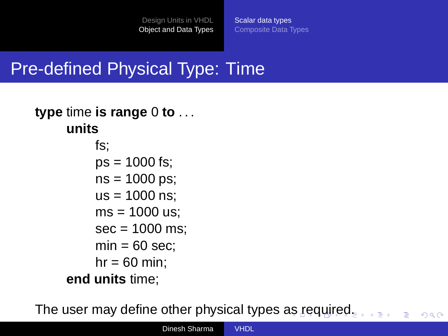[Scalar data types](#page-16-0) [Composite Data Types](#page-22-0)

<span id="page-20-0"></span> $\Omega$ 

### Pre-defined Physical Type: Time

### **type** time **is range** 0 **to** . . . **units**

fs;  $ps = 1000$  fs; ns = 1000 ps;  $us = 1000$  ns:  $ms = 1000$  us;  $sec = 1000$  ms:  $min = 60$  sec:  $hr = 60$  min: **end units** time;

The user may define other physical types [as](#page-19-0) r[e](#page-21-0)[q](#page-19-0)[uir](#page-20-0)[e](#page-21-0)[d](#page-15-0)[.](#page-16-0)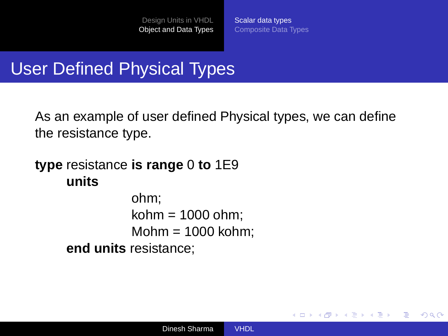[Scalar data types](#page-16-0) [Composite Data Types](#page-22-0)

<span id="page-21-0"></span>イロト イ押 トイヨ トイヨト

 $2Q$ 

э

### User Defined Physical Types

As an example of user defined Physical types, we can define the resistance type.

### **type** resistance **is range** 0 **to** 1E9 **units**

ohm; kohm  $= 1000$  ohm:  $Mohm = 1000$  kohm: **end units** resistance;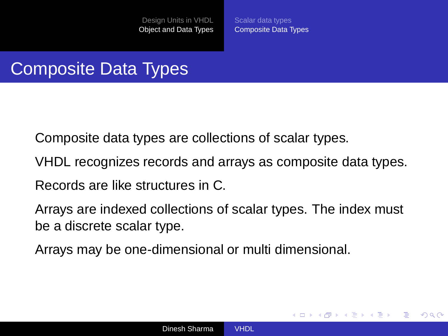[Scalar data types](#page-16-0) [Composite Data Types](#page-22-0)

<span id="page-22-0"></span>**≮ロト ⊀伊ト ⊀ ヨト ⊀ ヨト** 

 $2Q$ 

## Composite Data Types

Composite data types are collections of scalar types.

VHDL recognizes records and arrays as composite data types.

Records are like structures in C.

Arrays are indexed collections of scalar types. The index must be a discrete scalar type.

Arrays may be one-dimensional or multi dimensional.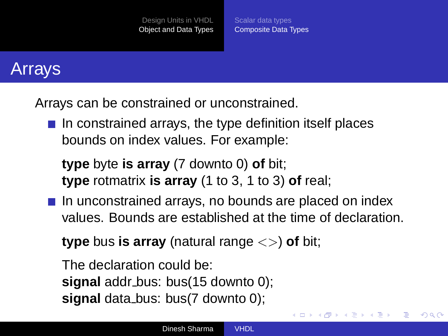[Scalar data types](#page-16-0) [Composite Data Types](#page-22-0)

### Arrays

Arrays can be constrained or unconstrained.

 $\blacksquare$  In constrained arrays, the type definition itself places bounds on index values. For example:

**type** byte **is array** (7 downto 0) **of** bit; **type** rotmatrix **is array** (1 to 3, 1 to 3) **of** real;

 $\blacksquare$  In unconstrained arrays, no bounds are placed on index values. Bounds are established at the time of declaration.

**type** bus **is array** (natural range <>) **of** bit;

The declaration could be: **signal** addr bus: bus(15 downto 0); **signal** data bus: bus(7 downto 0);

イロメ イ押メ イヨメ イヨメー

 $2Q$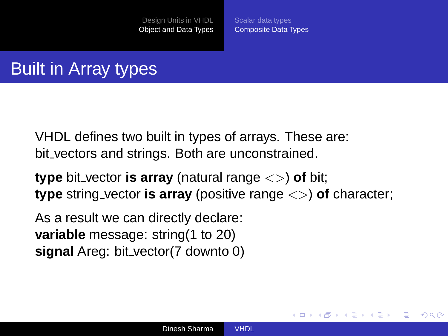[Scalar data types](#page-16-0) [Composite Data Types](#page-22-0)

イロト イ押 トイヨ トイヨト

 $\Omega$ 

# Built in Array types

VHDL defines two built in types of arrays. These are: bit vectors and strings. Both are unconstrained.

**type** bit vector **is array** (natural range <>) **of** bit; **type** string vector **is array** (positive range <>) **of** character;

As a result we can directly declare: **variable** message: string(1 to 20) **signal** Areg: bit vector(7 downto 0)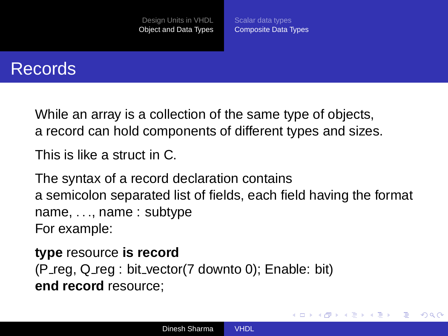[Scalar data types](#page-16-0) [Composite Data Types](#page-22-0)

イロト イ押ト イヨト イヨト

 $QQ$ э

### Records

While an array is a collection of the same type of objects, a record can hold components of different types and sizes.

This is like a struct in C.

The syntax of a record declaration contains a semicolon separated list of fields, each field having the format name, ..., name : subtype For example:

**type** resource **is record** (P reg, Q reg : bit vector(7 downto 0); Enable: bit) **end record** resource;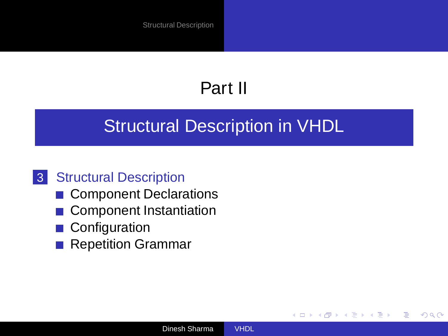# Part II

### [Structural Description in VHDL](#page-26-0)

### 3 [Structural Description](#page-27-0)

- [Component Declarations](#page-30-0)
- **[Component Instantiation](#page-31-0)**
- [Configuration](#page-34-0)
- [Repetition Grammar](#page-43-0)

(ロ) (母)

<span id="page-26-0"></span> $-4.25 + 4.$ ÷,  $2Q$ 

∍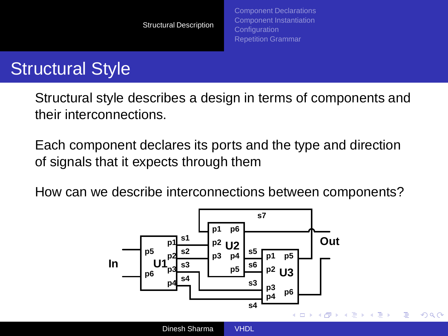# Structural Style

Structural style describes a design in terms of components and their interconnections.

Each component declares its ports and the type and direction of signals that it expects through them

How can we describe interconnections between components?

<span id="page-27-0"></span>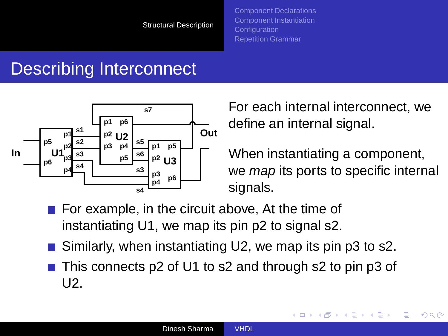# Describing Interconnect



For each internal interconnect, we define an internal signal.

When instantiating a component, we *map* its ports to specific internal signals.

**K ロ ⊁ K 何 ⊁ K ヨ ≯** 

 $2Q$ 

- $\blacksquare$  For example, in the circuit above, At the time of instantiating U1, we map its pin p2 to signal s2.
- Similarly, when instantiating U2, we map its pin p3 to s2.
- This connects p2 of U1 to s2 and through s2 to pin p3 of U2.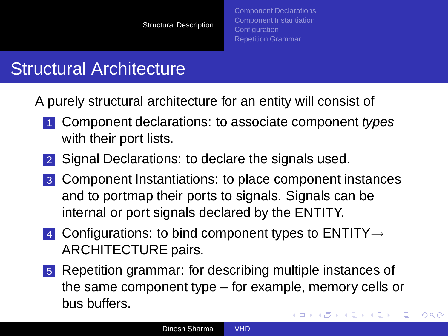## Structural Architecture

A purely structural architecture for an entity will consist of

- 1 Component declarations: to associate component types with their port lists.
- 2 Signal Declarations: to declare the signals used.
- 3 Component Instantiations: to place component instances and to portmap their ports to signals. Signals can be internal or port signals declared by the ENTITY.
- 4 Configurations: to bind component types to  $ENTITY \rightarrow$ ARCHITECTURE pairs.
- 5 Repetition grammar: for describing multiple instances of the same component type – for example, memory cells or bus buffers. **K 日 ト K 伊 ト K ヨ ト K ヨ ト**

 $QQ$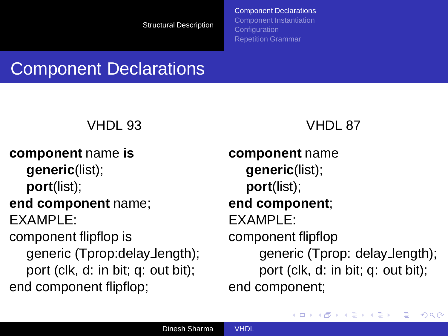[Component Declarations](#page-30-0) [Component Instantiation](#page-31-0) **[Configuration](#page-34-0)** [Repetition Grammar](#page-43-0)

## Component Declarations

### VHDL 93

**component** name **is generic**(list); **port**(list);

#### **end component** name; EXAMPLE:

component flipflop is generic (Tprop:delay length); port (clk, d: in bit; q: out bit); end component flipflop;

#### VHDL 87

**component** name **generic**(list); **port**(list); **end component**; EXAMPLE: component flipflop generic (Tprop: delay length); port (clk, d: in bit; q: out bit); end component;

<span id="page-30-0"></span> $\left\{ \begin{array}{ccc} 1 & 0 & 0 \\ 0 & 1 & 0 \end{array} \right.$ 

 $2Q$ 

э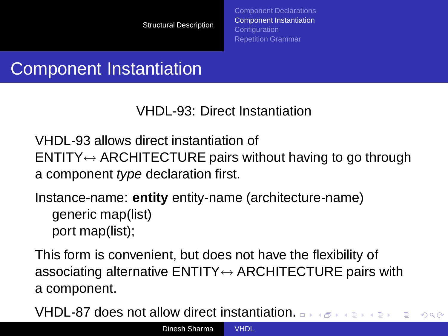[Component Declarations](#page-30-0) [Component Instantiation](#page-31-0) **[Configuration](#page-34-0)** [Repetition Grammar](#page-43-0)

# Component Instantiation

VHDL-93: Direct Instantiation

VHDL-93 allows direct instantiation of  $ENTITY \leftrightarrow ARCHITECTURE$  pairs without having to go through a component type declaration first.

Instance-name: **entity** entity-name (architecture-name) generic map(list) port map(list);

This form is convenient, but does not have the flexibility of associating alternative  $ENTITY \leftrightarrow ARCHITECTURE$  pairs with a component.

<span id="page-31-0"></span>VHDL-87 does not allow direct instantiatio[n.](#page-30-0)  $2Q$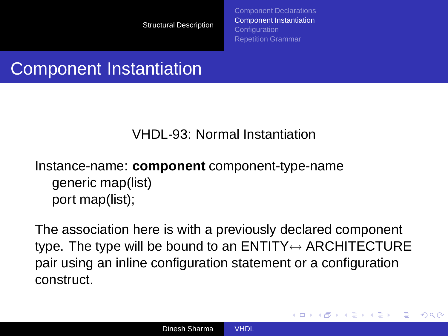[Component Declarations](#page-30-0) [Component Instantiation](#page-31-0) **[Configuration](#page-34-0)** [Repetition Grammar](#page-43-0)

<span id="page-32-0"></span>**≮ロト ⊀伊ト ⊀ ヨト ⊀ ヨト** 

 $\Omega$ 

## Component Instantiation

#### VHDL-93: Normal Instantiation

### Instance-name: **component** component-type-name generic map(list) port map(list);

The association here is with a previously declared component type. The type will be bound to an  $ENTITY \leftrightarrow ARCHITECTURE$ pair using an inline configuration statement or a configuration construct.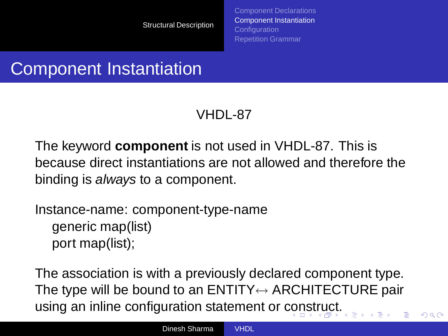[Component Declarations](#page-30-0) [Component Instantiation](#page-31-0) **[Configuration](#page-34-0)** [Repetition Grammar](#page-43-0)

<span id="page-33-0"></span> $\Omega$ 

# Component Instantiation

### VHDL-87

The keyword **component** is not used in VHDL-87. This is because direct instantiations are not allowed and therefore the binding is always to a component.

Instance-name: component-type-name generic map(list) port map(list);

The association is with a previously declared component type. The type will be bound to an  $ENTITY \leftrightarrow ARCHITECTURE$  pair using an inline configuration statement or [con](#page-32-0)[st](#page-34-0)[r](#page-32-0)[uc](#page-33-0)[t.](#page-34-0)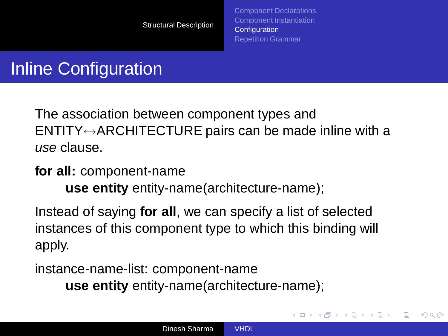[Component Declarations](#page-30-0) [Component Instantiation](#page-31-0) **[Configuration](#page-34-0)** [Repetition Grammar](#page-43-0)

<span id="page-34-0"></span>**≮ロト ⊀伊ト ⊀ ヨト ⊀ ヨト** 

 $\Omega$ 

# Inline Configuration

The association between component types and  $ENTITY \leftrightarrow ARCHITECTURE$  pairs can be made inline with a use clause.

#### **for all:** component-name **use entity** entity-name(architecture-name);

Instead of saying **for all**, we can specify a list of selected instances of this component type to which this binding will apply.

instance-name-list: component-name **use entity** entity-name(architecture-name);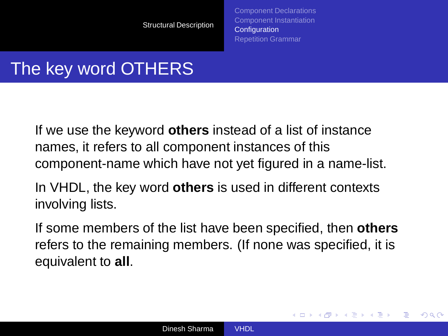[Component Declarations](#page-30-0) [Component Instantiation](#page-31-0) **[Configuration](#page-34-0)** [Repetition Grammar](#page-43-0)

**≮ロト ⊀伊ト ⊀ ヨト ⊀ ヨト** 

 $2Q$ 

# The key word OTHERS

If we use the keyword **others** instead of a list of instance names, it refers to all component instances of this component-name which have not yet figured in a name-list.

In VHDL, the key word **others** is used in different contexts involving lists.

If some members of the list have been specified, then **others** refers to the remaining members. (If none was specified, it is equivalent to **all**.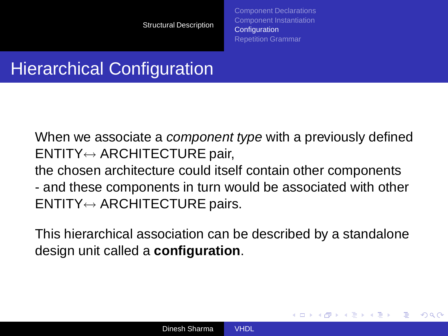[Component Declarations](#page-30-0) [Component Instantiation](#page-31-0) **[Configuration](#page-34-0)** [Repetition Grammar](#page-43-0)

**≮ロト ⊀伊ト ⊀ ヨト ⊀ ヨト** 

 $\Omega$ 

## Hierarchical Configuration

When we associate a *component type* with a previously defined ENTITY↔ ARCHITECTURE pair, the chosen architecture could itself contain other components - and these components in turn would be associated with other ENTITY↔ ARCHITECTURE pairs.

This hierarchical association can be described by a standalone design unit called a **configuration**.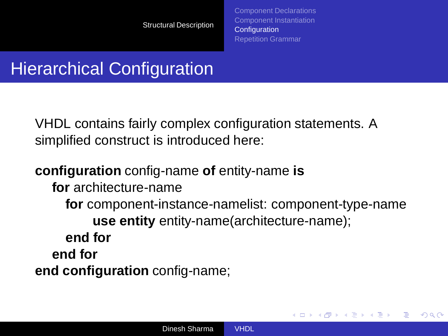[Component Declarations](#page-30-0) [Component Instantiation](#page-31-0) **[Configuration](#page-34-0)** [Repetition Grammar](#page-43-0)

イロト イ押 トイヨ トイヨト

 $\Omega$ 

## Hierarchical Configuration

VHDL contains fairly complex configuration statements. A simplified construct is introduced here:

#### **configuration** config-name **of** entity-name **is**

**for** architecture-name

**for** component-instance-namelist: component-type-name **use entity** entity-name(architecture-name); **end for end for end configuration** config-name;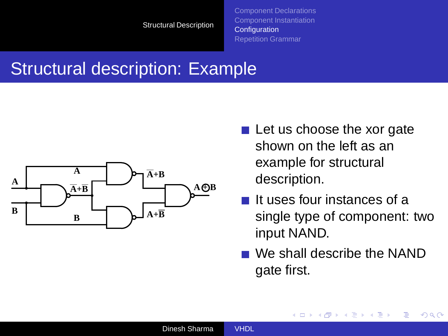#### Structural description: Example



- $\blacksquare$  Let us choose the xor gate shown on the left as an example for structural description.
- It uses four instances of a single type of component: two input NAND.
- We shall describe the NAND gate first.

**K ロ ト K 伊 ト K ヨ ト K** 

÷,

 $2Q$ 

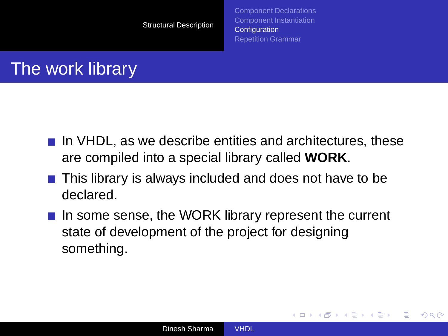[Component Declarations](#page-30-0) [Component Instantiation](#page-31-0) **[Configuration](#page-34-0)** [Repetition Grammar](#page-43-0)

**≮ロト ⊀伊ト ⊀ ヨト ⊀ ヨト** 

 $\Omega$ 

### The work library

- $\blacksquare$  In VHDL, as we describe entities and architectures, these are compiled into a special library called **WORK**.
- This library is always included and does not have to be declared.
- $\blacksquare$  In some sense, the WORK library represent the current state of development of the project for designing something.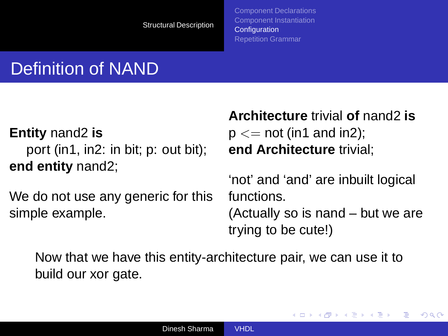[Component Declarations](#page-30-0) [Component Instantiation](#page-31-0) **[Configuration](#page-34-0)** [Repetition Grammar](#page-43-0)

# Definition of NAND

**Entity** nand2 **is** port (in1, in2: in bit; p: out bit); **end entity** nand2;

We do not use any generic for this simple example.

**Architecture** trivial **of** nand2 **is**  $p \leq$  not (in1 and in2); **end Architecture** trivial;

'not' and 'and' are inbuilt logical functions.

(Actually so is nand – but we are trying to be cute!)

**≮ロト ⊀伊ト ⊀ ヨト ⊀ ヨト** 

 $QQ$ 

Now that we have this entity-architecture pair, we can use it to build our xor gate.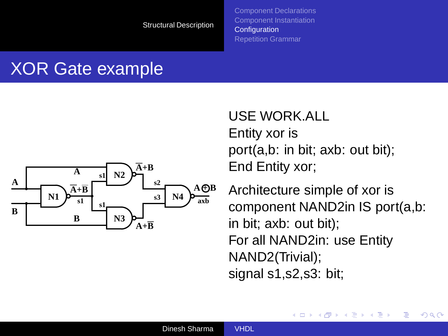[Component Declarations](#page-30-0) [Component Instantiation](#page-31-0) **[Configuration](#page-34-0)** [Repetition Grammar](#page-43-0)

#### XOR Gate example



USE WORK.ALL Entity xor is port(a,b: in bit; axb: out bit); End Entity xor;

Architecture simple of xor is component NAND2in IS port(a,b: in bit; axb: out bit); For all NAND2in: use Entity NAND2(Trivial); signal s1,s2,s3: bit;

**K ロ ▶ K 何 ▶ K ヨ ▶** 

 $2Q$ 

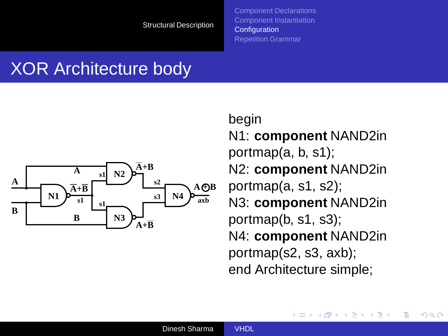## XOR Architecture body



begin N1: **component** NAND2in portmap(a, b, s1); N2: **component** NAND2in portmap(a, s1, s2); N3: **component** NAND2in portmap(b, s1, s3); N4: **component** NAND2in portmap(s2, s3, axb); end Architecture simple;

イロト イ母ト イヨト

 $2Q$ 

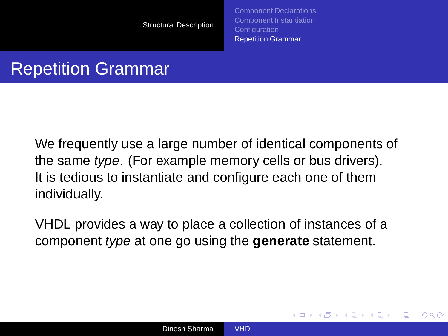[Component Declarations](#page-30-0) [Component Instantiation](#page-31-0) [Configuration](#page-34-0) [Repetition Grammar](#page-43-0)

<span id="page-43-0"></span>**≮ロト ⊀伊ト ⊀ ヨト ⊀ ヨト** 

 $\Omega$ 

### Repetition Grammar

We frequently use a large number of identical components of the same type. (For example memory cells or bus drivers). It is tedious to instantiate and configure each one of them individually.

VHDL provides a way to place a collection of instances of a component type at one go using the **generate** statement.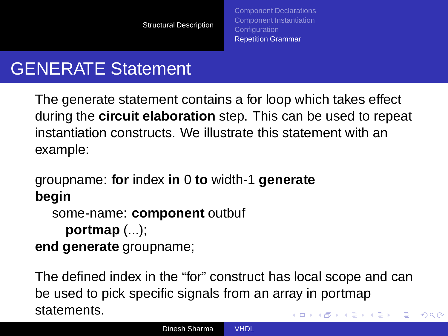### GENERATE Statement

The generate statement contains a for loop which takes effect during the **circuit elaboration** step. This can be used to repeat instantiation constructs. We illustrate this statement with an example:

groupname: **for** index **in** 0 **to** width-1 **generate begin**

```
some-name: component outbuf
```

```
portmap (...);
```
**end generate** groupname;

The defined index in the "for" construct has local scope and can be used to pick specific signals from an array in portmap statements.  $\left\{ \begin{array}{ccc} 1 & 0 & 0 \\ 0 & 1 & 0 \end{array} \right.$ Þ

 $2Q$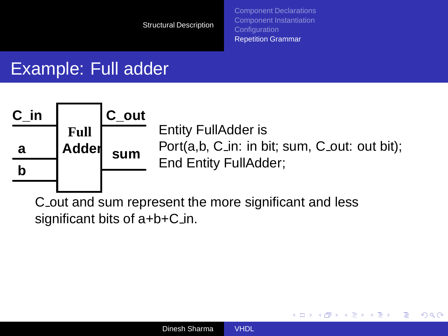[Component Declarations](#page-30-0) [Component Instantiation](#page-31-0) **[Configuration](#page-34-0)** [Repetition Grammar](#page-43-0)

イロト (母) イヨトイ

÷,

 $QQ$ 

#### Example: Full adder



C out and sum represent the more significant and less significant bits of  $a+b+C_in$ .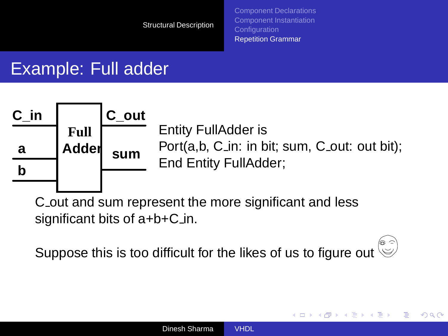[Component Declarations](#page-30-0) [Component Instantiation](#page-31-0) **[Configuration](#page-34-0)** [Repetition Grammar](#page-43-0)

**K ロ ▶ K 何 ▶ K ヨ ▶** 

つくい

#### Example: Full adder



C out and sum represent the more significant and less significant bits of  $a+b+C_in$ .

Suppose this is too difficult for the likes of us to figure out  $\overset{\circ}{\circ}$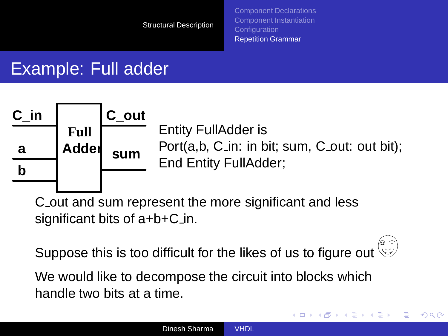[Component Declarations](#page-30-0) [Component Instantiation](#page-31-0) [Configuration](#page-34-0) [Repetition Grammar](#page-43-0)

イロト (母) イヨトイ

÷,

 $QQ$ 

### Example: Full adder



C out and sum represent the more significant and less significant bits of  $a+b+C_in$ .

Suppose this is too difficult for the likes of us to figure out  $\mathbb{S}$ 

We would like to decompose the circuit into blocks which handle two bits at a time.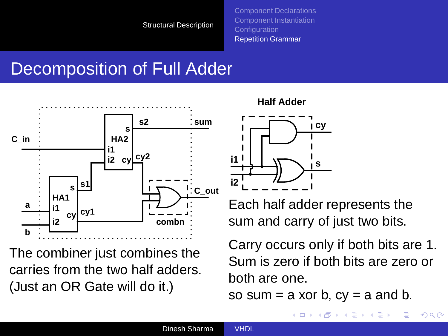[Component Declarations](#page-30-0) [Component Instantiation](#page-31-0) [Configuration](#page-34-0) [Repetition Grammar](#page-43-0)

## Decomposition of Full Adder



The combiner just combines the carries from the two half adders. (Just an OR Gate will do it.)





Each half adder represents the sum and carry of just two bits.

Carry occurs only if both bits are 1. Sum is zero if both bits are zero or both are one.

so sum  $=$  a xor b,  $cy = a$  and b.

**K ロ ▶ K 何 ▶ K ヨ ▶** 

 $QQ$ 

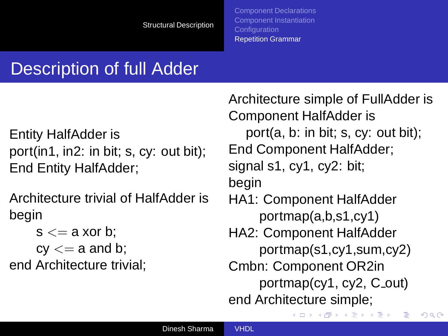# Description of full Adder

Entity HalfAdder is port(in1, in2: in bit; s, cy: out bit); End Entity HalfAdder;

Architecture trivial of HalfAdder is begin

 $s \leq a$  xor b:  $cv \leq a$  and b; end Architecture trivial; Architecture simple of FullAdder is Component HalfAdder is port(a, b: in bit; s, cy: out bit); End Component HalfAdder; signal s1, cy1, cy2: bit; begin HA1: Component HalfAdder portmap(a,b,s1,cy1) HA2: Component HalfAdder portmap(s1,cy1,sum,cy2) Cmbn: Component OR2in  $portmap(cy1, cy2, C_1, cy2)$ end Architecture simple;

K ロ ▶ K 御 ▶ K 唐 ▶ K 唐 ▶

 $QQ$ 

∍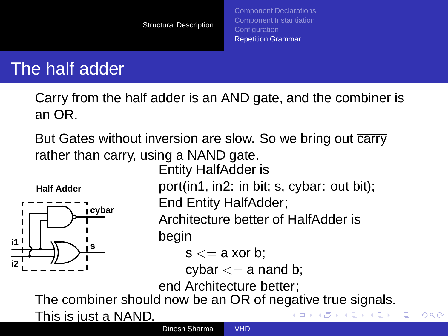#### The half adder

Carry from the half adder is an AND gate, and the combiner is an OR.

But Gates without inversion are slow. So we bring out carry rather than carry, using a NAND gate.

Entity HalfAdder is

**Half Adder**



port(in1, in2: in bit; s, cybar: out bit); End Entity HalfAdder;

Architecture better of HalfAdder is

イロト イ押 トイヨ トイヨト

 $QQ$ 

begin

 $s \leq a$  xor b:

cybar  $<= a$  nand b;

end Architecture better;

The combiner should now be an OR of negative true signals.

This is just a NAND.

Dinesh Sharma [VHDL](#page-0-0)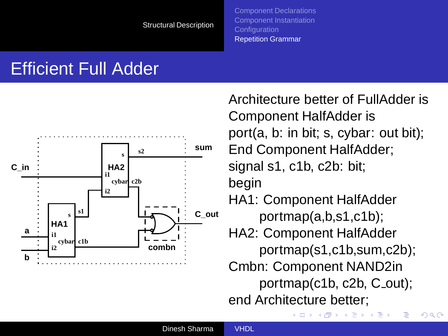#### Efficient Full Adder



Architecture better of FullAdder is Component HalfAdder is port(a, b: in bit; s, cybar: out bit); End Component HalfAdder; signal s1, c1b, c2b: bit; begin HA1: Component HalfAdder portmap(a,b,s1,c1b); HA2: Component HalfAdder portmap(s1,c1b,sum,c2b); Cmbn: Component NAND2in portmap(c1b, c2b, C\_out); end Architecture better;

 $A\ \overline{B}\ \rightarrow\ A\ \overline{B}\ \rightarrow$ 

 $QQ$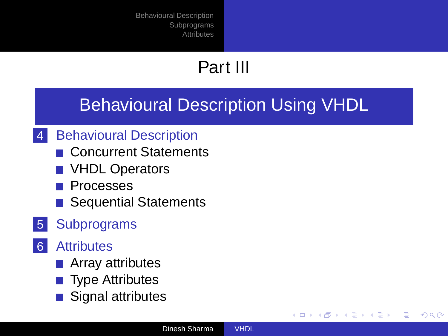# Part III

#### [Behavioural Description Using VHDL](#page-52-0)

- 4 [Behavioural Description](#page-53-0)
	- [Concurrent Statements](#page-53-0)
	- **[VHDL Operators](#page-58-0)**
	- **[Processes](#page-59-0)**
	- **[Sequential Statements](#page-61-0)**
- 5 [Subprograms](#page-75-0)
- 6 [Attributes](#page-81-0)
	- **[Array attributes](#page-82-0)**
	- **[Type Attributes](#page-83-0)**
	- [Signal attributes](#page-84-0)

<span id="page-52-0"></span>イロト イ押 トイヨ トイヨト

Þ  $QQ$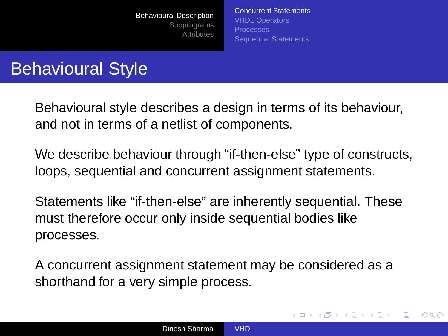[Concurrent Statements](#page-53-0) [VHDL Operators](#page-58-0) [Processes](#page-59-0) [Sequential Statements](#page-61-0)

<span id="page-53-0"></span>(ロトイ部)→(店)→(店)→

 $\Omega$ 

## Behavioural Style

Behavioural style describes a design in terms of its behaviour, and not in terms of a netlist of components.

We describe behaviour through "if-then-else" type of constructs, loops, sequential and concurrent assignment statements.

Statements like "if-then-else" are inherently sequential. These must therefore occur only inside sequential bodies like processes.

A concurrent assignment statement may be considered as a shorthand for a very simple process.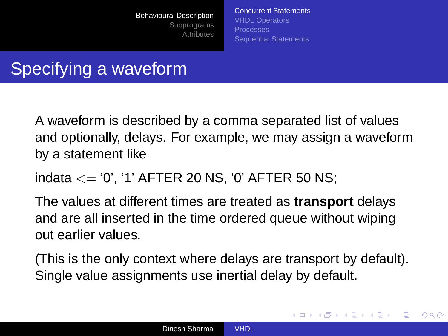[Concurrent Statements](#page-53-0) [VHDL Operators](#page-58-0) [Processes](#page-59-0) [Sequential Statements](#page-61-0)

イロト イ押 トイヨ トイヨト

 $\Omega$ 

# Specifying a waveform

A waveform is described by a comma separated list of values and optionally, delays. For example, we may assign a waveform by a statement like

indata <= '0', '1' AFTER 20 NS, '0' AFTER 50 NS;

The values at different times are treated as **transport** delays and are all inserted in the time ordered queue without wiping out earlier values.

(This is the only context where delays are transport by default). Single value assignments use inertial delay by default.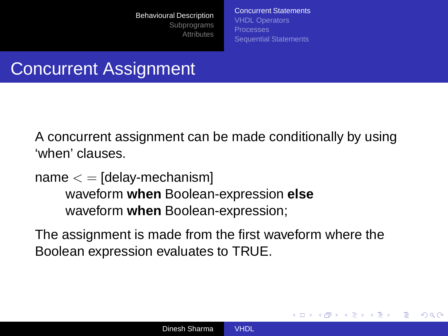[Concurrent Statements](#page-53-0) [VHDL Operators](#page-58-0) [Processes](#page-59-0) [Sequential Statements](#page-61-0)

イロト イ押 トイヨ トイヨト

 $\Omega$ 

### Concurrent Assignment

A concurrent assignment can be made conditionally by using 'when' clauses.

 $name < = [delay-mechanism]$ waveform **when** Boolean-expression **else** waveform **when** Boolean-expression;

The assignment is made from the first waveform where the Boolean expression evaluates to TRUE.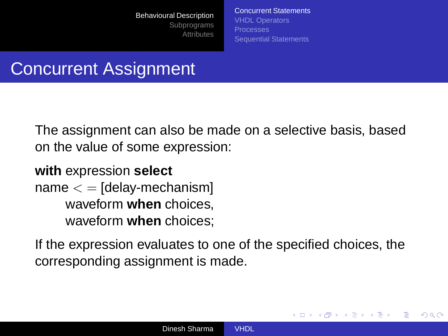[Concurrent Statements](#page-53-0) [VHDL Operators](#page-58-0) [Processes](#page-59-0) [Sequential Statements](#page-61-0)

**≮ロト ⊀伊ト ⊀ ヨト ⊀ ヨト** 

つくい

### Concurrent Assignment

The assignment can also be made on a selective basis, based on the value of some expression:

**with** expression **select**  $name < = [delay-mechanism]$ waveform **when** choices, waveform **when** choices;

If the expression evaluates to one of the specified choices, the corresponding assignment is made.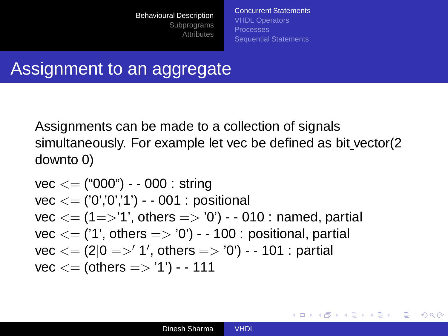[Concurrent Statements](#page-53-0) [VHDL Operators](#page-58-0) [Sequential Statements](#page-61-0)

B

 $2Q$ 

#### Assignment to an aggregate

Assignments can be made to a collection of signals simultaneously. For example let vec be defined as bit vector(2 downto 0)

\n
$$
\text{vec} <= \binom{4000^9}{7} - 0.00 : \text{string}
$$
\n

\n\n $\text{vec} <= \binom{70^7}{7} - 0.00 : \text{positional}$ \n

\n\n $\text{vec} <= \binom{4}{7} \cdot \text{others} = > '0' - 0.01 : \text{named, partial}$ \n

\n\n $\text{vec} <= \binom{11}{7}, \text{others} = > '0' - 1.00 : \text{positional, partial}$ \n

\n\n $\text{vec} <= \binom{2}{0} = > '1', \text{ others} = > '0' - 1.01 : \text{partial}$ \n

\n\n $\text{vec} <= \text{(others} = > '1') - 1.11$ \n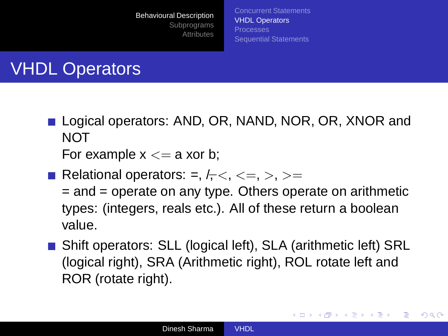[Concurrent Statements](#page-53-0) [VHDL Operators](#page-58-0) [Processes](#page-59-0) [Sequential Statements](#page-61-0)

# VHDL Operators

Logical operators: AND, OR, NAND, NOR, OR, XNOR and NOT

For example  $x \leq a$  xor b;

Relational operators: =,  $l_7 <, \leq, \geq, \geq, \geq,$ 

= and = operate on any type. Others operate on arithmetic types: (integers, reals etc.). All of these return a boolean value.

■ Shift operators: SLL (logical left), SLA (arithmetic left) SRL (logical right), SRA (Arithmetic right), ROL rotate left and ROR (rotate right).

<span id="page-58-0"></span>**≮ロト ⊀何 ト ⊀ ヨ ト ⊀ ヨ ト** 

÷.  $QQ$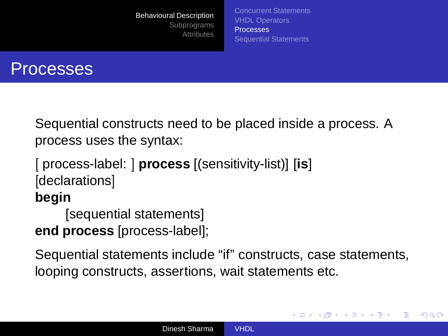[Concurrent Statements](#page-53-0) [VHDL Operators](#page-58-0) [Processes](#page-59-0) [Sequential Statements](#page-61-0)

<span id="page-59-0"></span>イロト イ押 トイヨ トイヨト

 $2Q$ 



Sequential constructs need to be placed inside a process. A process uses the syntax:

```
[ process-label: ] process [(sensitivity-list)] [is]
[declarations]
begin
```
[sequential statements] **end process** [process-label];

Sequential statements include "if" constructs, case statements, looping constructs, assertions, wait statements etc.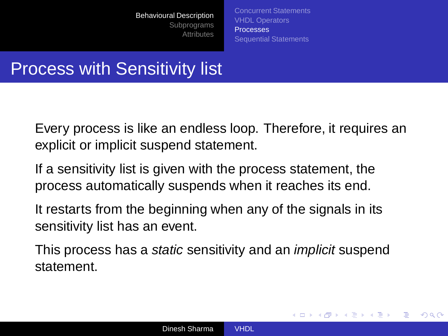[Concurrent Statements](#page-53-0) [VHDL Operators](#page-58-0) [Processes](#page-59-0) [Sequential Statements](#page-61-0)

イロト イ押 トイヨ トイヨト

 $\Omega$ 

### Process with Sensitivity list

Every process is like an endless loop. Therefore, it requires an explicit or implicit suspend statement.

If a sensitivity list is given with the process statement, the process automatically suspends when it reaches its end.

It restarts from the beginning when any of the signals in its sensitivity list has an event.

This process has a *static* sensitivity and an *implicit* suspend statement.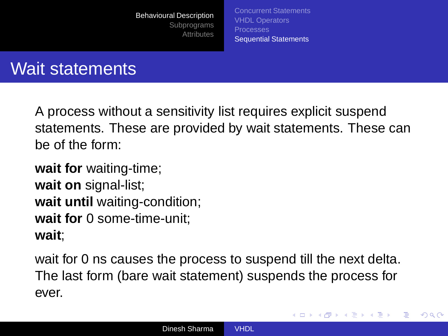[Concurrent Statements](#page-53-0) [VHDL Operators](#page-58-0) **[Processes](#page-59-0)** [Sequential Statements](#page-61-0)

<span id="page-61-0"></span>(ロトイ部)→(店)→(店)→

 $QQ$ 

### Wait statements

A process without a sensitivity list requires explicit suspend statements. These are provided by wait statements. These can be of the form:

**wait for** waiting-time; **wait on** signal-list; **wait until** waiting-condition; **wait for** 0 some-time-unit; **wait**;

wait for 0 ns causes the process to suspend till the next delta. The last form (bare wait statement) suspends the process for ever.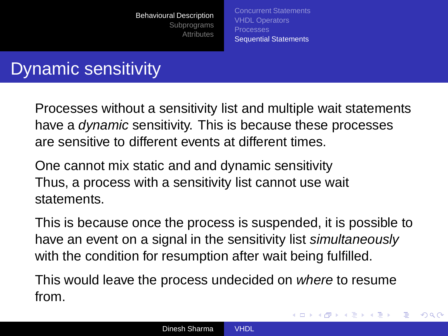[Concurrent Statements](#page-53-0) [VHDL Operators](#page-58-0) [Processes](#page-59-0) [Sequential Statements](#page-61-0)

イロト イ押 トイヨ トイヨト

 $QQ$ 

### Dynamic sensitivity

Processes without a sensitivity list and multiple wait statements have a *dynamic* sensitivity. This is because these processes are sensitive to different events at different times.

One cannot mix static and and dynamic sensitivity Thus, a process with a sensitivity list cannot use wait statements.

This is because once the process is suspended, it is possible to have an event on a signal in the sensitivity list simultaneously with the condition for resumption after wait being fulfilled.

This would leave the process undecided on where to resume from.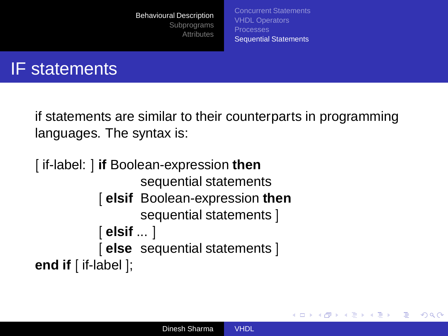[Concurrent Statements](#page-53-0) [VHDL Operators](#page-58-0) [Processes](#page-59-0) [Sequential Statements](#page-61-0)

イロト イ押 トイヨ トイヨト

 $2Q$ 

#### IF statements

if statements are similar to their counterparts in programming languages. The syntax is:

```
[ if-label: ] if Boolean-expression then
                  sequential statements
           [ elsif Boolean-expression then
                  sequential statements ]
           [ elsif ... ]
           [ else sequential statements ]
end if [ if-label ];
```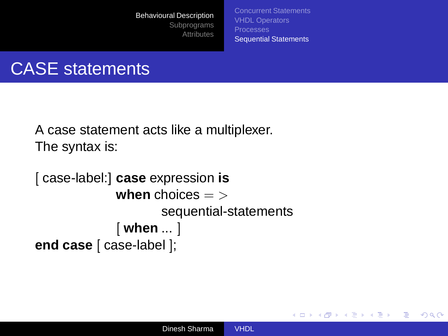[Concurrent Statements](#page-53-0) [VHDL Operators](#page-58-0) [Processes](#page-59-0) [Sequential Statements](#page-61-0)

イロト イ押 トイヨ トイヨト

 $2Q$ 

э

### CASE statements

A case statement acts like a multiplexer. The syntax is:

```
[ case-label:] case expression is
             when choices = >
                     sequential-statements
             [ when ... ]
end case [ case-label ];
```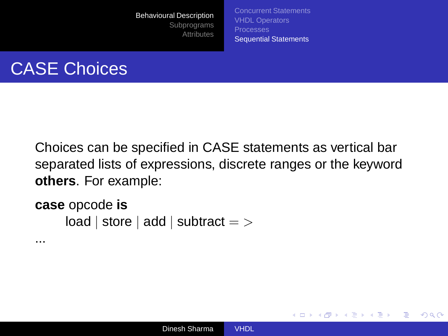[Concurrent Statements](#page-53-0) [VHDL Operators](#page-58-0) [Sequential Statements](#page-61-0)

イロト イ押 トイヨ トイヨト

B

 $2Q$ 

## CASE Choices

Choices can be specified in CASE statements as vertical bar separated lists of expressions, discrete ranges or the keyword **others**. For example:

**case** opcode **is**  $load | store | add | subtract = >$ 

...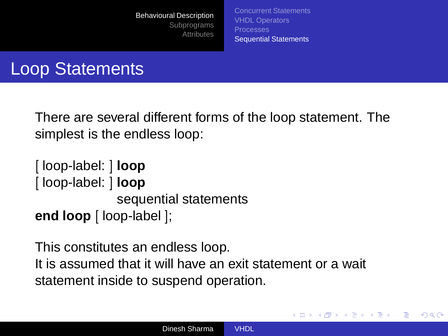[Concurrent Statements](#page-53-0) [VHDL Operators](#page-58-0) [Processes](#page-59-0) [Sequential Statements](#page-61-0)

(ロトイ部)→(店)→(店)→

 $\Omega$ 

#### Loop Statements

There are several different forms of the loop statement. The simplest is the endless loop:

```
[ loop-label: ] loop
[ loop-label: ] loop
              sequential statements
end loop [ loop-label ];
```
This constitutes an endless loop. It is assumed that it will have an exit statement or a wait statement inside to suspend operation.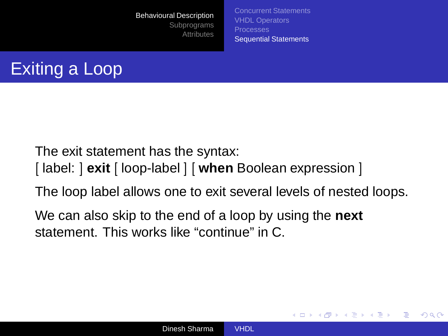[Concurrent Statements](#page-53-0) [VHDL Operators](#page-58-0) [Processes](#page-59-0) [Sequential Statements](#page-61-0)

イロト イ押 トイヨ トイヨト

 $\Omega$ 



The exit statement has the syntax:

- [ label: ] **exit** [ loop-label ] [ **when** Boolean expression ]
- The loop label allows one to exit several levels of nested loops.

We can also skip to the end of a loop by using the **next** statement. This works like "continue" in C.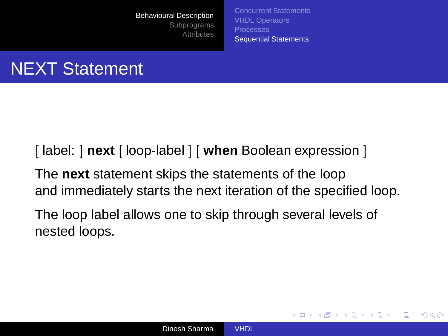[Concurrent Statements](#page-53-0) [VHDL Operators](#page-58-0) [Processes](#page-59-0) [Sequential Statements](#page-61-0)

イロト イ押 トイヨ トイヨト

 $QQ$ 

# NEXT Statement

[ label: ] **next** [ loop-label ] [ **when** Boolean expression ]

The **next** statement skips the statements of the loop and immediately starts the next iteration of the specified loop.

The loop label allows one to skip through several levels of nested loops.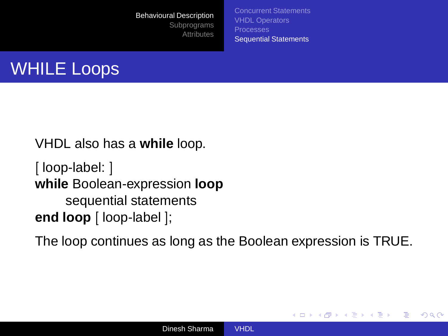[Concurrent Statements](#page-53-0) [VHDL Operators](#page-58-0) [Processes](#page-59-0) [Sequential Statements](#page-61-0)

(ロトイ部)→(店)→(店)→

 $QQ$ 



VHDL also has a **while** loop.

[ loop-label: ] **while** Boolean-expression **loop** sequential statements **end loop** [ loop-label ];

The loop continues as long as the Boolean expression is TRUE.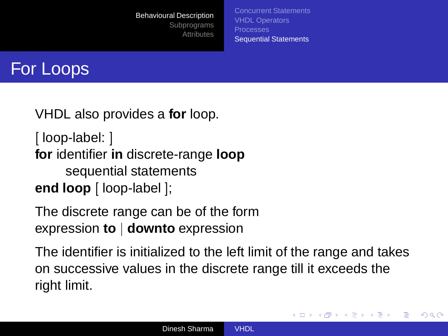[Concurrent Statements](#page-53-0) [VHDL Operators](#page-58-0) [Processes](#page-59-0) [Sequential Statements](#page-61-0)

イロト イ押 トイヨ トイヨト

 $\Omega$ 



VHDL also provides a **for** loop.

[ loop-label: ] **for** identifier **in** discrete-range **loop** sequential statements **end loop** [ loop-label ];

The discrete range can be of the form expression **to** | **downto** expression

The identifier is initialized to the left limit of the range and takes on successive values in the discrete range till it exceeds the right limit.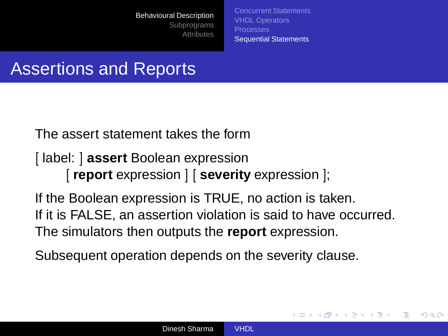[Concurrent Statements](#page-53-0) [VHDL Operators](#page-58-0) [Processes](#page-59-0) [Sequential Statements](#page-61-0)

**≮ロト ⊀伊ト ⊀ ヨト ⊀ ヨト** 

 $\Omega$ 

#### Assertions and Reports

The assert statement takes the form

[ label: ] **assert** Boolean expression [ **report** expression ] [ **severity** expression ];

If the Boolean expression is TRUE, no action is taken. If it is FALSE, an assertion violation is said to have occurred. The simulators then outputs the **report** expression.

Subsequent operation depends on the severity clause.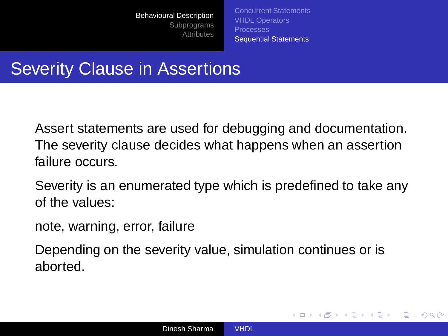[Concurrent Statements](#page-53-0) [VHDL Operators](#page-58-0) [Processes](#page-59-0) [Sequential Statements](#page-61-0)

イロト イ押 トイヨ トイヨト

 $QQ$ 

#### **Severity Clause in Assertions**

Assert statements are used for debugging and documentation. The severity clause decides what happens when an assertion failure occurs.

Severity is an enumerated type which is predefined to take any of the values:

note, warning, error, failure

Depending on the severity value, simulation continues or is aborted.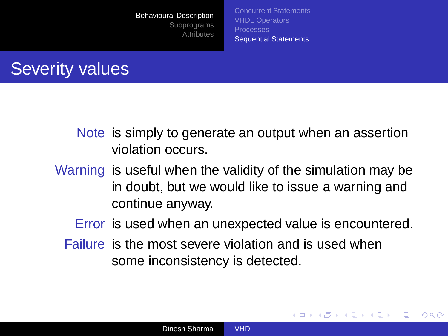[Concurrent Statements](#page-53-0) [VHDL Operators](#page-58-0) [Processes](#page-59-0) [Sequential Statements](#page-61-0)

## Severity values

Note is simply to generate an output when an assertion violation occurs.

Warning is useful when the validity of the simulation may be in doubt, but we would like to issue a warning and continue anyway.

Error is used when an unexpected value is encountered.

イロト イ押 トイヨ トイヨト

 $2Q$ 

Failure is the most severe violation and is used when some inconsistency is detected.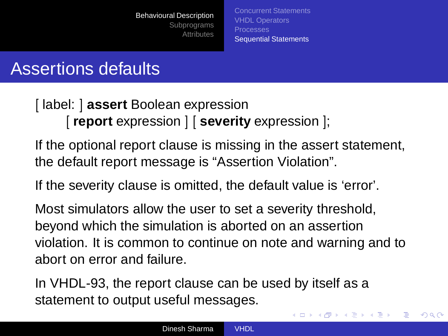[Concurrent Statements](#page-53-0) [VHDL Operators](#page-58-0) [Processes](#page-59-0) [Sequential Statements](#page-61-0)

 $\left\{ \begin{array}{ccc} 1 & 0 & 0 \\ 0 & 1 & 0 \end{array} \right.$ 

 $QQ$ 

## Assertions defaults

[ label: ] **assert** Boolean expression [ **report** expression ] [ **severity** expression ];

If the optional report clause is missing in the assert statement, the default report message is "Assertion Violation".

If the severity clause is omitted, the default value is 'error'.

Most simulators allow the user to set a severity threshold, beyond which the simulation is aborted on an assertion violation. It is common to continue on note and warning and to abort on error and failure.

In VHDL-93, the report clause can be used by itself as a statement to output useful messages.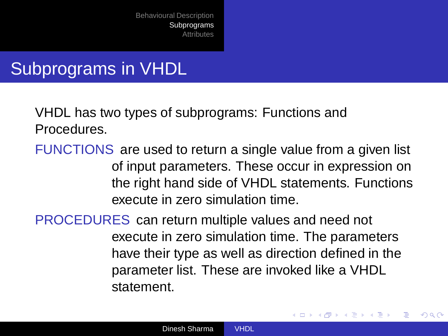## Subprograms in VHDL

VHDL has two types of subprograms: Functions and Procedures.

FUNCTIONS are used to return a single value from a given list of input parameters. These occur in expression on the right hand side of VHDL statements. Functions execute in zero simulation time.

PROCEDURES can return multiple values and need not execute in zero simulation time. The parameters have their type as well as direction defined in the parameter list. These are invoked like a VHDL statement.

<span id="page-75-0"></span>イロト イ押 トイヨ トイヨト

 $2Q$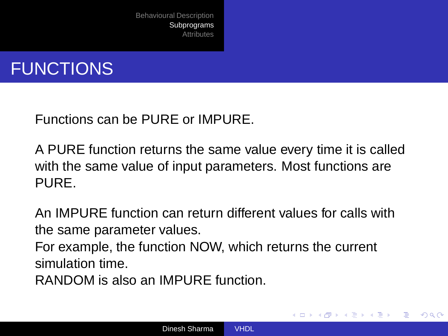

Functions can be PURE or IMPURE.

A PURE function returns the same value every time it is called with the same value of input parameters. Most functions are PURE.

An IMPURE function can return different values for calls with the same parameter values.

For example, the function NOW, which returns the current simulation time.

RANDOM is also an IMPURE function.

イロト イ押 トイヨ トイヨト

 $\Omega$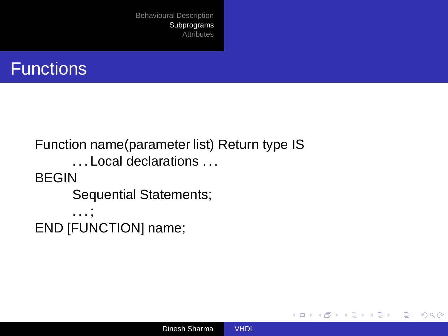

```
Function name(parameter list) Return type IS
      . . . Local declarations . . .
BEGIN
      Sequential Statements;
      . . . ;
END [FUNCTION] name;
```
イロト イ押 トイヨ トイヨト

÷.

 $2Q$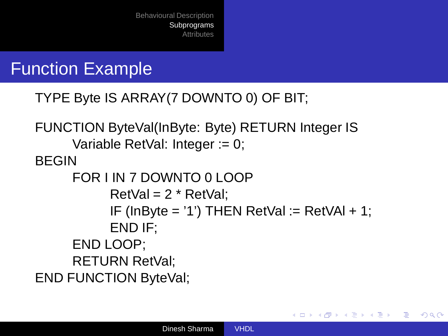#### Function Example

```
TYPE Byte IS ARRAY(7 DOWNTO 0) OF BIT;
```

```
FUNCTION ByteVal(InByte: Byte) RETURN Integer IS
     Variable RetVal: Integer := 0;
BEGIN
     FOR I IN 7 DOWNTO 0 LOOP
           RetVal = 2 * RetVal:
           IF (InByte = '1') THEN RetVal := RetVAI + 1;
           END IF;
     END LOOP;
     RETURN RetVal;
END FUNCTION ByteVal;
```
イロト イ押 トイヨ トイヨト

 $QQ$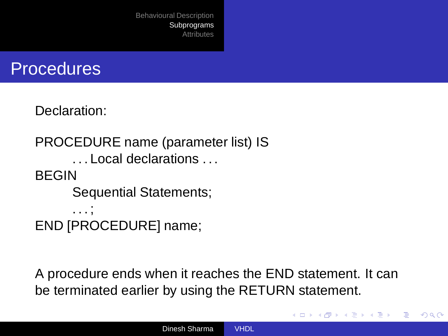

Declaration:

PROCEDURE name (parameter list) IS . . . Local declarations . . . BEGIN Sequential Statements; . . . ; END [PROCEDURE] name;

A procedure ends when it reaches the END statement. It can be terminated earlier by using the RETURN statement.

イロト イ押 トイヨ トイヨト

 $QQ$ 

э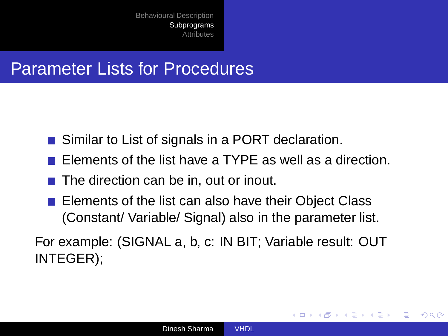#### Parameter Lists for Procedures

- Similar to List of signals in a PORT declaration.
- Elements of the list have a TYPE as well as a direction.
- $\blacksquare$  The direction can be in, out or inout.
- Elements of the list can also have their Object Class (Constant/ Variable/ Signal) also in the parameter list.

For example: (SIGNAL a, b, c: IN BIT; Variable result: OUT INTEGER);

**∢ ロ ≯ ィ 伊 ≯** 

→ 重 → → 重 →

 $2Q$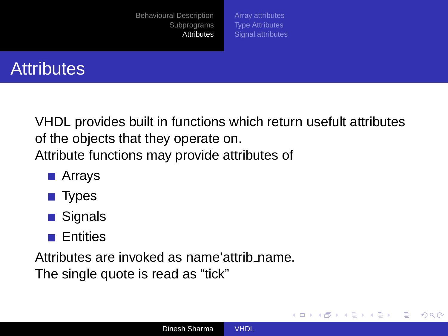[Array attributes](#page-82-0) [Type Attributes](#page-83-0) [Signal attributes](#page-84-0)

<span id="page-81-0"></span>**≮ロト ⊀伊ト ⊀ ヨト ⊀ ヨト** 

 $QQ$ 

∍



VHDL provides built in functions which return usefult attributes of the objects that they operate on. Attribute functions may provide attributes of

- **■** Arrays
- Types
- **■** Signals
- **Entities**

Attributes are invoked as name'attrib name.

The single quote is read as "tick"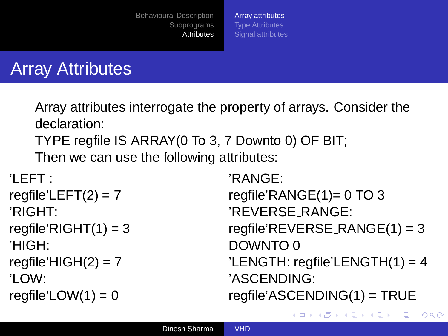[Array attributes](#page-82-0) [Type Attributes](#page-83-0) [Signal attributes](#page-84-0)

### Array Attributes

Array attributes interrogate the property of arrays. Consider the declaration:

TYPE regfile IS ARRAY(0 To 3, 7 Downto 0) OF BIT;

Then we can use the following attributes:

```
'LEFT :
regfile'LEFT(2) = 7'RIGHT:
regfile'RIGHT(1) = 3'HIGH:
reqfile'HIGH(2) = 7'LOW:
regfile'LOW(1) = 0
```
'RANGE: regfile'RANGE(1)= 0 TO 3 'REVERSE RANGE:  $reqfile'REVERSE_RANGE(1) = 3$ DOWNTO 0 'LENGTH: regfile'LENGTH(1) = 4 'ASCENDING: regfile'ASCENDING(1) = TRUE

<span id="page-82-0"></span>イロト イ押 トイヨ トイヨト

 $QQ$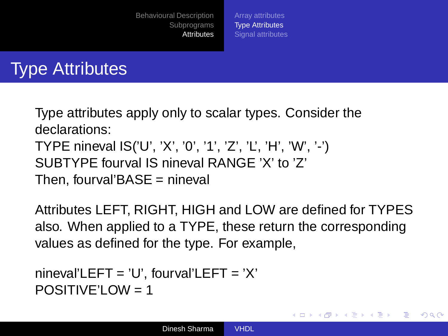[Array attributes](#page-82-0) [Type Attributes](#page-83-0) [Signal attributes](#page-84-0)

## Type Attributes

Type attributes apply only to scalar types. Consider the declarations: TYPE nineval IS('U', 'X', '0', '1', 'Z', 'L', 'H', 'W', '-') SUBTYPE fourval IS nineval RANGE 'X' to 'Z' Then, fourval'BASE = nineval

Attributes LEFT, RIGHT, HIGH and LOW are defined for TYPES also. When applied to a TYPE, these return the corresponding values as defined for the type. For example,

<span id="page-83-0"></span>イロト イ押 トイヨ トイヨト

 $\Omega$ 

```
nineval'LEFT = 'U', fourval'LEFT = 'X'
POSITIVF'IOW = 1
```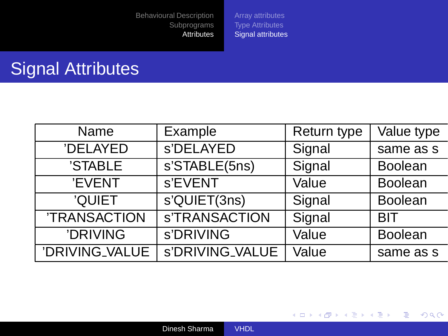[Array attributes](#page-82-0) [Type Attributes](#page-83-0) [Signal attributes](#page-84-0)

## Signal Attributes

| Name           | Example         | Return type | Value type     |  |
|----------------|-----------------|-------------|----------------|--|
| 'DELAYED       | s'DELAYED       | Signal      | same as s      |  |
| 'STABLE        | s'STABLE(5ns)   | Signal      | <b>Boolean</b> |  |
| 'EVENT         | s'EVENT         | Value       | <b>Boolean</b> |  |
| 'QUIET         | s'QUIET(3ns)    | Signal      | Boolean        |  |
| 'TRANSACTION   | s'TRANSACTION   | Signal      | <b>BIT</b>     |  |
| 'DRIVING       | s'DRIVING       | Value       | <b>Boolean</b> |  |
| 'DRIVING_VALUE | s'DRIVING_VALUE | Value       | same as s      |  |

<span id="page-84-0"></span>イロトス 御 トス ミトス ミトー

重。  $298$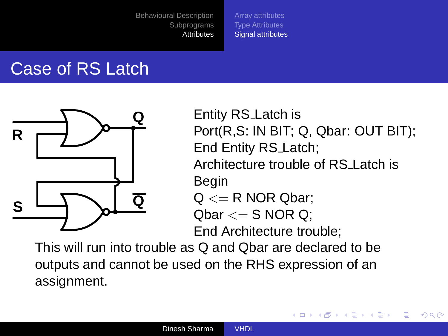[Array attributes](#page-82-0) [Type Attributes](#page-83-0) [Signal attributes](#page-84-0)

## Case of RS Latch



Entity RS Latch is Port(R,S: IN BIT; Q, Qbar: OUT BIT); End Entity RS Latch; Architecture trouble of RS Latch is Begin  $Q \le R$  NOR Qbar:  $Qbar \leq S$  NOR Q:

<span id="page-85-0"></span>K ロトメ 御 トメ 君 トメ 君 ト

 $2Q$ 

End Architecture trouble;

This will run into trouble as Q and Qbar are declared to be outputs and cannot be used on the RHS expression of an assignment.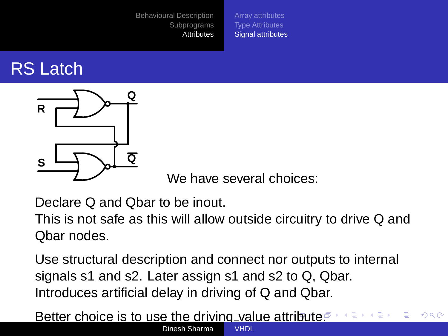[Array attributes](#page-82-0) [Type Attributes](#page-83-0) [Signal attributes](#page-84-0)

## RS Latch



<span id="page-86-0"></span>We have several choices:

Declare Q and Qbar to be inout.

This is not safe as this will allow outside circuitry to drive Q and Qbar nodes.

Use structural description and connect nor outputs to internal signals s1 and s2. Later assign s1 and s2 to Q, Qbar. Introduces artificial delay in driving of Q and Qbar.

Better choice is to use the driving value at[trib](#page-85-0)[ut](#page-87-0)[e](#page-85-0)[.](#page-86-0)<sup></sup>  $QQ$ Dingsh Sharma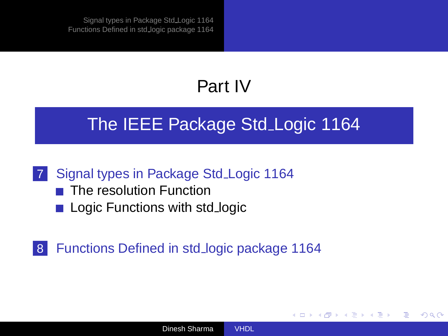# Part IV

#### [The IEEE Package Std](#page-87-0) Logic 1164

#### 7 [Signal types in Package Std](#page-88-0) Logic 1164

- $\blacksquare$  [The resolution Function](#page-91-0)
- [Logic Functions with std](#page-93-0)\_logic

#### 8 [Functions Defined in std](#page-95-0)\_logic package 1164

<span id="page-87-0"></span>(ロトイ部)→(店)→(店)→

 $\Omega$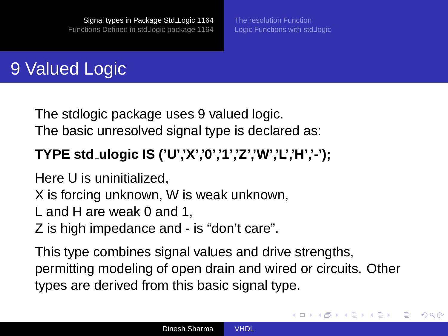[Logic Functions with std](#page-93-0)\_logic

<span id="page-88-0"></span>イロト イ押 トイヨ トイヨト

 $\Omega$ 

## 9 Valued Logic

The stdlogic package uses 9 valued logic. The basic unresolved signal type is declared as:

#### **TYPE std ulogic IS ('U','X','0','1','Z','W','L','H','-');**

Here U is uninitialized,

X is forcing unknown, W is weak unknown,

- L and H are weak 0 and 1,
- Z is high impedance and is "don't care".

This type combines signal values and drive strengths, permitting modeling of open drain and wired or circuits. Other types are derived from this basic signal type.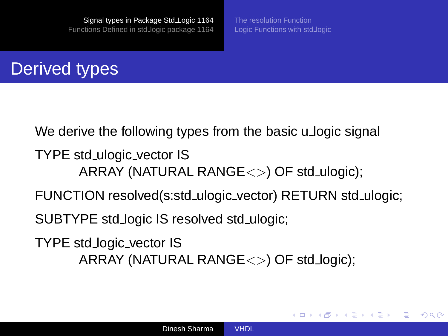[Logic Functions with std](#page-93-0)\_logic

イロト イ押 トイヨ トイヨト

 $\Omega$ 

## Derived types

We derive the following types from the basic u logic signal TYPE std ulogic vector IS ARRAY (NATURAL RANGE $\langle \rangle$ ) OF std\_ulogic); FUNCTION resolved(s:std ulogic vector) RETURN std ulogic; SUBTYPE std logic IS resolved std ulogic; TYPE std logic vector IS ARRAY (NATURAL RANGE<>) OF std logic);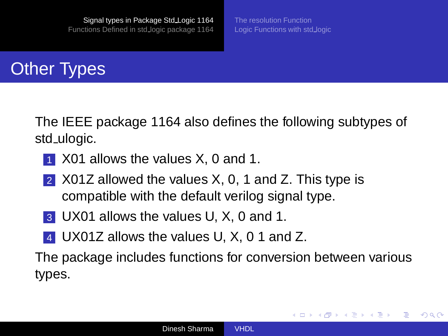[Logic Functions with std](#page-93-0)\_logic

<span id="page-90-0"></span>(ロトイ部)→(店)→(店)→

э

 $\Omega$ 

# Other Types

The IEEE package 1164 also defines the following subtypes of std ulogic.

- **1 X01 allows the values X, 0 and 1.**
- 2 X01Z allowed the values X, 0, 1 and Z. This type is compatible with the default verilog signal type.
- 3 UX01 allows the values U, X, 0 and 1.
- 4 UX01Z allows the values U, X, 0 1 and Z.

The package includes functions for conversion between various types.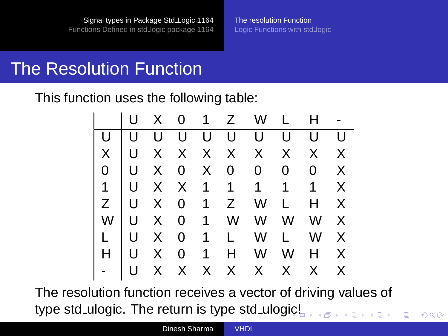#### The Resolution Function

This function uses the following table:

|  |  |  |  | U X 0 1 Z W L H -       |  |
|--|--|--|--|-------------------------|--|
|  |  |  |  | U U U U U U U U U       |  |
|  |  |  |  | X U X X X X X X X X     |  |
|  |  |  |  | 0 U X 0 X 0 0 0 0 X     |  |
|  |  |  |  | 1 U X X 1 1 1 1 1 X     |  |
|  |  |  |  | $Z$   U X 0 1 Z W L H X |  |
|  |  |  |  | $W$ U X 0 1 W W W W X   |  |
|  |  |  |  | L U X 0 1 L W L W X     |  |
|  |  |  |  | H   U X 0 1 H W W H X   |  |
|  |  |  |  | U X X X X X X X X       |  |

The resolution function receives a vector of driving values of type std\_ulogic. The return is type std\_ulog[ic!](#page-90-0)

<span id="page-91-0"></span> $QQ$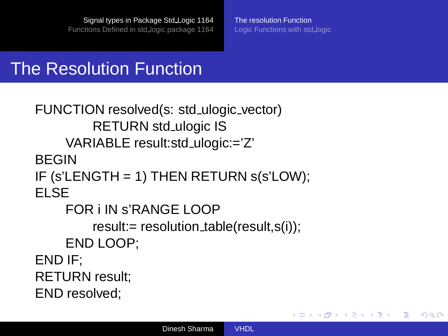[The resolution Function](#page-91-0) [Logic Functions with std](#page-93-0)\_logic

イロト イ押 トイヨ トイヨト

 $QQ$ э

#### The Resolution Function

```
FUNCTION resolved(s: std ulogic vector)
         RETURN std_ulogic IS
    VARIABLE result:std ulogic:='Z'
BEGIN
IF (s'LENGTH = 1) THEN RETURN s(s'LOW);
ELSE
    FOR i IN s'RANGE LOOP
         result:= resolution_table(result,s(i));
    END LOOP;
END IF;
RETURN result;
END resolved;
```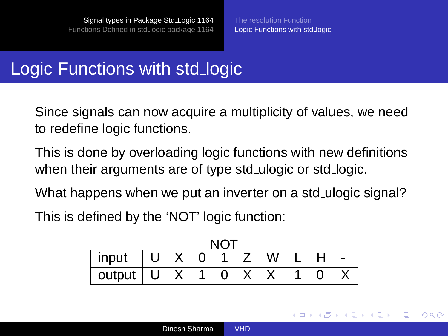## Logic Functions with std\_logic

Since signals can now acquire a multiplicity of values, we need to redefine logic functions.

This is done by overloading logic functions with new definitions when their arguments are of type std\_ulogic or std\_logic.

What happens when we put an inverter on a std ulogic signal? This is defined by the 'NOT' logic function:

$$
\begin{array}{|c|cccc|}\n\hline\n\text{input} & U & X & 0 & 1 & Z & W & L & H & - \\
\hline\n\text{output} & U & X & 1 & 0 & X & X & 1 & 0 & X \\
\hline\n\end{array}
$$

<span id="page-93-0"></span>**≮ロト ⊀伊ト ⊀ ヨト ⊀ ヨト** 

 $\Omega$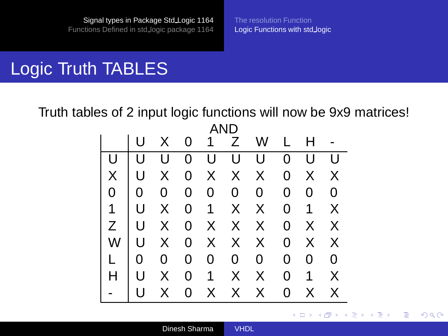### Logic Truth TABLES

Truth tables of 2 input logic functions will now be 9x9 matrices! AND

| AND            |              |                |                                      |  |     |                          |                |                |             |
|----------------|--------------|----------------|--------------------------------------|--|-----|--------------------------|----------------|----------------|-------------|
|                |              |                |                                      |  |     | U X 0 1 Z W L H          |                |                |             |
|                | U            |                | $\begin{matrix} 1 \\ 0 \end{matrix}$ |  | U U | U                        | $\overline{0}$ | U              | U           |
| $\mathsf{X}^-$ | U            |                |                                      |  |     | X 0 X X X                |                | 0 X X          |             |
| $0-1$          | $\mathbf{0}$ | $\overline{0}$ |                                      |  |     | $0\quad 0\quad 0\quad 0$ | $\mathbf{0}$   | $\overline{0}$ | $\mathbf 0$ |
| 1              | U            |                |                                      |  |     | X 0 1 X X                |                | $0$ 1 $X$      |             |
| Z              |              |                |                                      |  |     | U X 0 X X X              |                | 0 X X          |             |
| W              |              |                |                                      |  |     | U X 0 X X X              |                | $0 \times$     | $\times$    |
|                | $\mathbf 0$  | $\mathbf{0}$   |                                      |  |     | $0\quad 0\quad 0\quad 0$ | $\mathbf{0}$   | 0              | $\mathbf 0$ |
|                | U            | $X -$          |                                      |  |     | 0 1 X X                  |                | 0 <sub>1</sub> | X           |
|                |              | $X_{-}$        |                                      |  |     | 0 X X X                  | 0              | X.             | X           |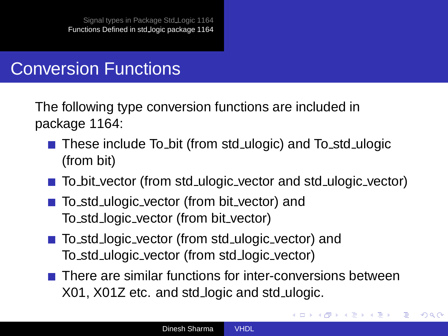#### Conversion Functions

The following type conversion functions are included in package 1164:

- These include To bit (from std ulogic) and To std ulogic (from bit)
- To bit vector (from std ulogic vector and std ulogic vector)
- To\_std\_ulogic\_vector (from bit\_vector) and To std logic vector (from bit vector)
- To\_std\_logic\_vector (from std\_ulogic\_vector) and To std ulogic vector (from std logic vector)
- $\blacksquare$  There are similar functions for inter-conversions between X01, X01Z etc. and std logic and std ulogic.

<span id="page-95-0"></span>イロト イ押ト イヨト イヨト

 $2Q$ 

э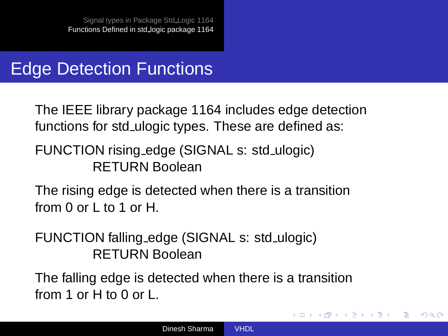#### Edge Detection Functions

The IEEE library package 1164 includes edge detection functions for std\_ulogic types. These are defined as:

FUNCTION rising edge (SIGNAL s: std\_ulogic) RETURN Boolean

The rising edge is detected when there is a transition from 0 or L to 1 or H.

FUNCTION falling edge (SIGNAL s: std ulogic) RETURN Boolean

The falling edge is detected when there is a transition from 1 or H to 0 or L.

イロト イ押ト イヨト イヨト

э

 $\Omega$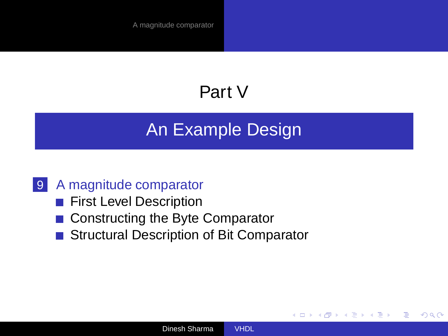# Part V

## [An Example Design](#page-97-0)

#### 9 [A magnitude comparator](#page-98-0)

- **[First Level Description](#page-100-0)**
- [Constructing the Byte Comparator](#page-103-0)
- [Structural Description of Bit Comparator](#page-110-0)

(ロ) (母)

<span id="page-97-0"></span>→ 重 → → 重 →

 $2Q$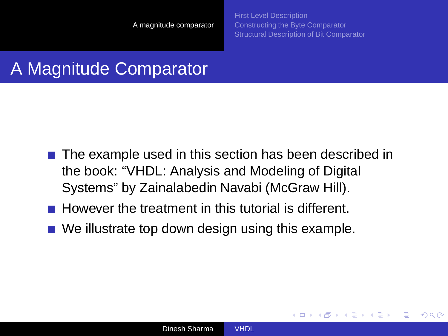[First Level Description](#page-100-0) [Constructing the Byte Comparator](#page-103-0) [Structural Description of Bit Comparator](#page-110-0)

<span id="page-98-0"></span>**≮ロト ⊀伊ト ⊀ ヨト ⊀ ヨト** 

 $\Omega$ 

## A Magnitude Comparator

- $\blacksquare$  The example used in this section has been described in the book: "VHDL: Analysis and Modeling of Digital Systems" by Zainalabedin Navabi (McGraw Hill).
- However the treatment in this tutorial is different.
- $\blacksquare$  We illustrate top down design using this example.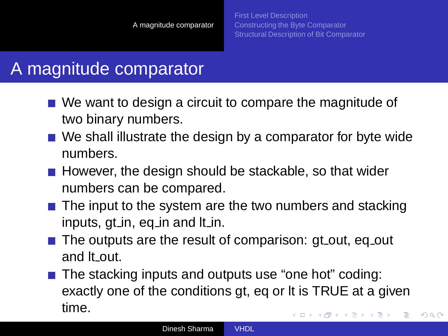$2Q$ 

### A magnitude comparator

- We want to design a circuit to compare the magnitude of two binary numbers.
- We shall illustrate the design by a comparator for byte wide numbers.
- $\blacksquare$  However, the design should be stackable, so that wider numbers can be compared.
- $\blacksquare$  The input to the system are the two numbers and stacking inputs, gt in, eq in and It in.
- $\blacksquare$  The outputs are the result of comparison: gt\_out, eq\_out and It\_out.
- The stacking inputs and outputs use "one hot" coding: exactly one of the conditions gt, eq or lt is TRUE at a given time. イロト イ押 トイヨ トイヨト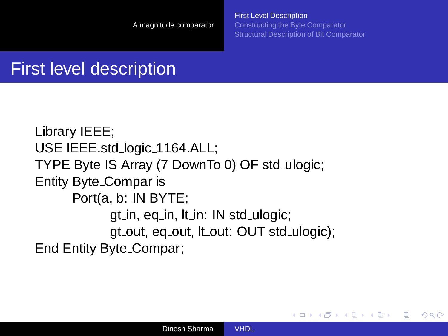[First Level Description](#page-100-0) [Constructing the Byte Comparator](#page-103-0) [Structural Description of Bit Comparator](#page-110-0)

<span id="page-100-0"></span>**≮ロト ⊀伊ト ⊀ ヨト ⊀ ヨト** 

 $2Q$ 

## First level description

Library IEEE; USE IEEE.std\_logic\_1164.ALL; TYPE Byte IS Array (7 DownTo 0) OF std ulogic; Entity Byte Compar is Port(a, b: IN BYTE; gt\_in, eq\_in, lt\_in: IN std\_ulogic; gt\_out, eq\_out, lt\_out: OUT std\_ulogic); End Entity Byte Compar;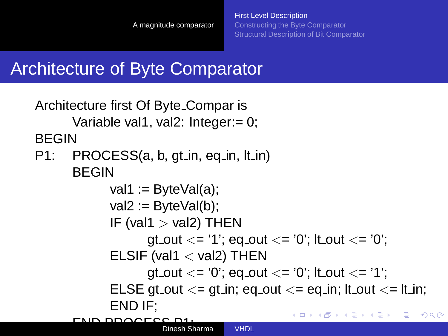## Architecture of Byte Comparator

```
Architecture first Of Byte Compar is
      Variable val1, val2: Integer:= 0;
BEGIN
P1: PROCESS(a, b, gt in, eq in, lt in)
      BEGIN
             val1 := ByteVal(a);
             val2 := ByteVal(b);IF (val1 > val2) THEN
                    gt_out \lt = '1'; eq_out \lt = '0'; it_out \lt = '0';
             ELSIF (val1 < val2) THEN
                    gt_out \lt = '0'; eq_out \lt = '0'; it_out \lt = '1';
             ELSE gt_out \lt = gt_in; eq_out \lt = eq_in; It_out \lt = It_in;
             END IF;
                                               イロト イ押 トイヨ トイヨト
                                                                      QQEND PROCESS P1;
Dinesh Sharma VHDL
```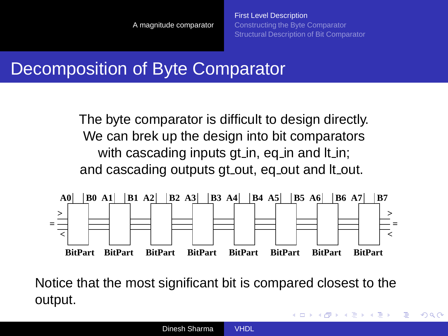### Decomposition of Byte Comparator

The byte comparator is difficult to design directly. We can brek up the design into bit comparators with cascading inputs gt in, eq in and It in; and cascading outputs gt\_out, eq\_out and It\_out.



Notice that the most significant bit is compared closest to the output.

 $\left\{ \begin{array}{ccc} 1 & 0 & 0 \\ 0 & 1 & 0 \end{array} \right.$ 

 $QQ$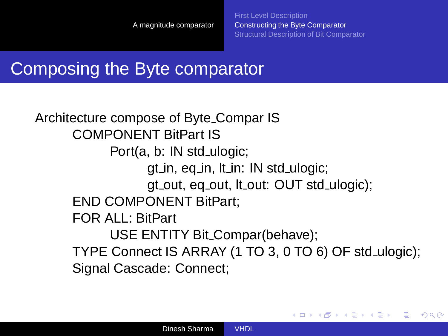<span id="page-103-0"></span>**≮ロト ⊀伊ト ⊀ ヨト ⊀ ヨト** 

 $2Q$ 

### Composing the Byte comparator

Architecture compose of Byte Compar IS COMPONENT BitPart IS Port(a, b: IN std\_ulogic; gt in, eq in, lt in: IN std ulogic; gt out, eq out, lt out: OUT std ulogic); END COMPONENT BitPart; FOR ALL: BitPart USE ENTITY Bit Compar(behave); TYPE Connect IS ARRAY (1 TO 3, 0 TO 6) OF std ulogic); Signal Cascade: Connect;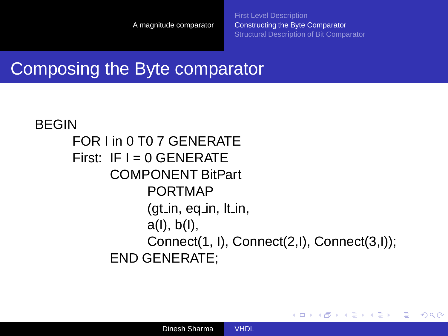イロト イ押 トイヨ トイヨト

 $QQ$ э

#### Composing the Byte comparator

#### BEGIN FOR I in 0 T0 7 GENERATE First:  $IF I = 0$  GENERATE COMPONENT BitPart PORTMAP  $(gt_{i}in, eq_{i}in, It_{i}in,$ a(I), b(I), Connect(1, I), Connect(2,I), Connect(3,I)); END GENERATE;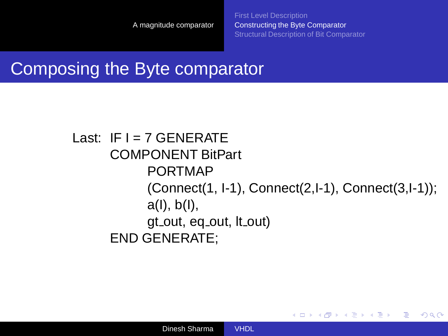イロト イ押 トイヨ トイヨト

 $QQ$ э

#### Composing the Byte comparator

#### Last:  $IF I = 7$  GENERATE COMPONENT BitPart PORTMAP (Connect(1, I-1), Connect(2,I-1), Connect(3,I-1)); a(I), b(I), gt out, eq out, lt out) END GENERATE;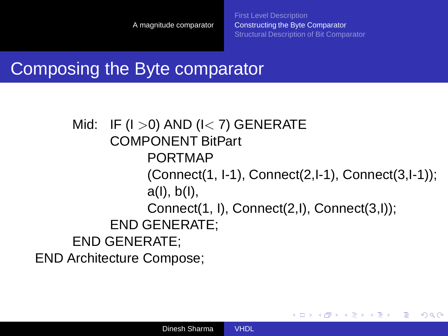イロト イ押 トイヨ トイヨト

 $\Omega$ 

#### Composing the Byte comparator

Mid: IF  $(1 > 0)$  AND  $(1 < 7)$  GENERATE COMPONENT BitPart PORTMAP (Connect(1, I-1), Connect(2,I-1), Connect(3,I-1)); a(I), b(I), Connect(1, I), Connect(2,I), Connect(3,I)); END GENERATE; END GENERATE; END Architecture Compose;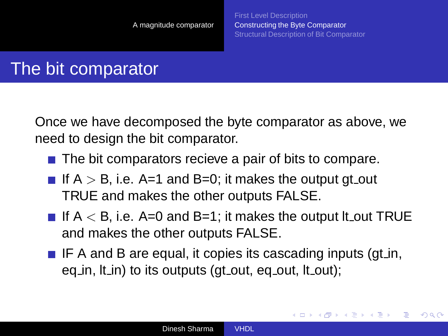**≮ロト ⊀伊ト ⊀ ヨト ⊀ ヨト** 

つくい

### The bit comparator

Once we have decomposed the byte comparator as above, we need to design the bit comparator.

- $\blacksquare$  The bit comparators recieve a pair of bits to compare.
- If  $A > B$ , i.e. A=1 and B=0; it makes the output gt out TRUE and makes the other outputs FALSE.
- If  $A < B$ , i.e. A=0 and B=1; it makes the output It out TRUE and makes the other outputs FALSE.
- $\blacksquare$  IF A and B are equal, it copies its cascading inputs (gt in, eq in,  $|t$  in) to its outputs (gt out, eq out,  $|t$  out);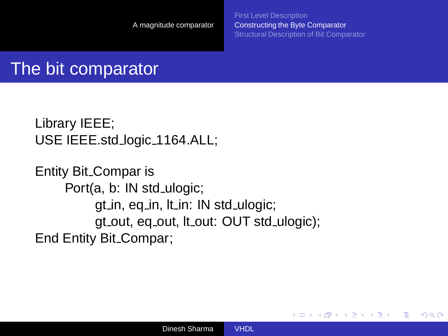[First Level Description](#page-100-0) [Constructing the Byte Comparator](#page-103-0) [Structural Description of Bit Comparator](#page-110-0)

**≮ロト ⊀伊ト ⊀ ヨト ⊀ ヨト** 

 $2Q$ 

# The bit comparator

```
Library IEEE;
USE IEEE.std_logic_1164.ALL;
```
Entity Bit Compar is Port(a, b: IN std\_ulogic; gt\_in, eq\_in, lt\_in: IN std\_ulogic; gt out, eq out, lt out: OUT std ulogic); End Entity Bit Compar;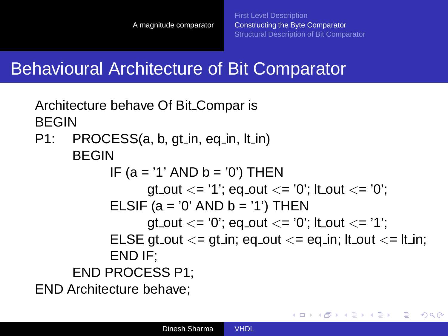<span id="page-109-0"></span>イロト イ押 トイヨ トイヨト

 $\Omega$ 

# Behavioural Architecture of Bit Comparator

Architecture behave Of Bit Compar is BEGIN P1: PROCESS(a, b, gt in, eq in, lt in) BEGIN IF  $(a = '1'$  AND  $b = '0'$ ) THEN qt\_out  $\lt =$  '1'; eq\_out  $\lt =$  '0'; it\_out  $\lt =$  '0'; ELSIF (a =  $'0'$  AND b =  $'1'$ ) THEN gt\_out  $\lt = '0'$ ; eq\_out  $\lt = '0'$ ; it\_out  $\lt = '1'$ ; ELSE gt\_out  $\lt$ = gt\_in; eq\_out  $\lt$ = eq\_in; it\_out  $\lt$ = it\_in; END IF; END PROCESS P1;

END Architecture behave;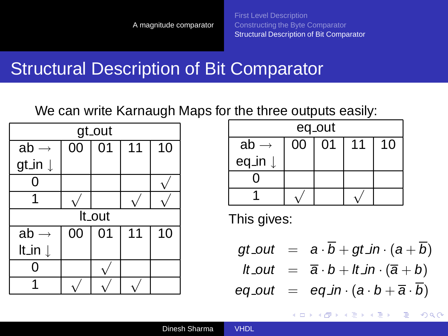### Structural Description of Bit Comparator

We can write Karnaugh Maps for the three outputs easily:

| gt_out             |    |                 |    |    |  |  |
|--------------------|----|-----------------|----|----|--|--|
| $ab \rightarrow$   | 00 | $\overline{01}$ | 11 | 10 |  |  |
| gt_in $\downarrow$ |    |                 |    |    |  |  |
|                    |    |                 |    |    |  |  |
|                    |    |                 |    |    |  |  |
| It_out             |    |                 |    |    |  |  |
| $ab \rightarrow$   | 00 | $\overline{01}$ | 11 | 10 |  |  |
| It_in $\downarrow$ |    |                 |    |    |  |  |
|                    |    |                 |    |    |  |  |
|                    |    |                 |    |    |  |  |

| eq_out           |    |    |    |    |  |
|------------------|----|----|----|----|--|
| ab $\rightarrow$ | 00 | 01 | 11 | 10 |  |
| eq_in ↓          |    |    |    |    |  |
|                  |    |    |    |    |  |
|                  |    |    |    |    |  |

This gives:

$$
gt\_out = a \cdot \overline{b} + gt\_in \cdot (a + \overline{b})
$$
  

$$
lt\_out = \overline{a} \cdot b + lt\_in \cdot (\overline{a} + b)
$$
  

$$
eq\_out = eq\_in \cdot (a \cdot b + \overline{a} \cdot \overline{b})
$$

<span id="page-110-0"></span>イロト イ押 トイヨ トイヨト

 $2Q$ 

э

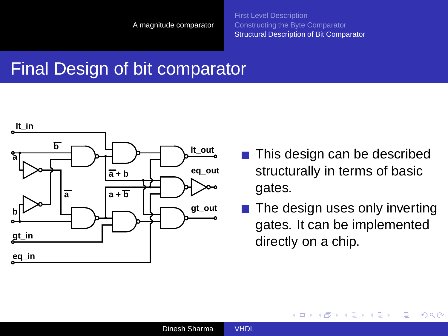### Final Design of bit comparator



- This design can be described  $\sim$ structurally in terms of basic gates.
- The design uses only inverting gates. It can be implemented directly on a chip.

<span id="page-111-0"></span>イロト (母) イヨトイ

 $2Q$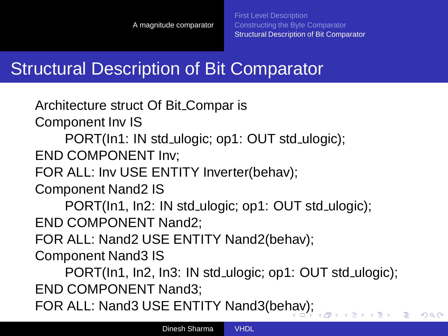$2Q$ 

# Structural Description of Bit Comparator

Architecture struct Of Bit Compar is

Component Inv IS

PORT(In1: IN std\_ulogic; op1: OUT std\_ulogic);

END COMPONENT Inv;

FOR ALL: Inv USE ENTITY Inverter(behav);

Component Nand2 IS

PORT(In1, In2: IN std\_ulogic; op1: OUT std\_ulogic); END COMPONENT Nand2;

FOR ALL: Nand2 USE ENTITY Nand2(behav);

Component Nand3 IS

PORT(In1, In2, In3: IN std ulogic; op1: OUT std ulogic); END COMPONENT Nand3;

FOR ALL: Nand3 USE ENTITY Nand3(be[ha](#page-111-0)v[\);](#page-113-0)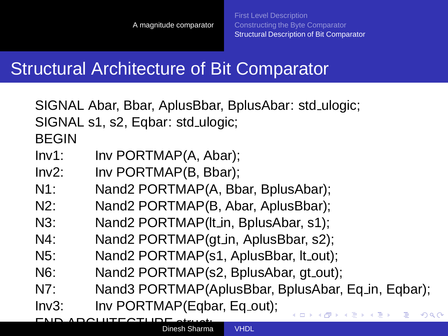# Structural Architecture of Bit Comparator

|                  | SIGNAL Abar, Bbar, AplusBbar, BplusAbar: std_ulogic;  |
|------------------|-------------------------------------------------------|
|                  | SIGNAL s1, s2, Eqbar: std_ulogic;                     |
| <b>BEGIN</b>     |                                                       |
| Inv1:            | Inv PORTMAP(A, Abar);                                 |
| Inv2:            | Inv PORTMAP(B, Bbar);                                 |
| $N1$ :           | Nand2 PORTMAP(A, Bbar, BplusAbar);                    |
| $N2$ :           | Nand2 PORTMAP(B, Abar, AplusBbar);                    |
| $N3$ :           | Nand2 PORTMAP(It_in, BplusAbar, s1);                  |
| $N4$ :           | Nand2 PORTMAP(gt_in, AplusBbar, s2);                  |
| $N5$ :           | Nand2 PORTMAP(s1, AplusBbar, It_out);                 |
| N <sub>6</sub> : | Nand2 PORTMAP(s2, BplusAbar, gt_out);                 |
| N7:              | Nand3 PORTMAP(AplusBbar, BplusAbar, Eq.in, Eqbar);    |
| Inv3:            | Inv PORTMAP(Eqbar, Eq_out);<br>KO KA KO KERKEN E YA G |
|                  |                                                       |

<span id="page-113-0"></span>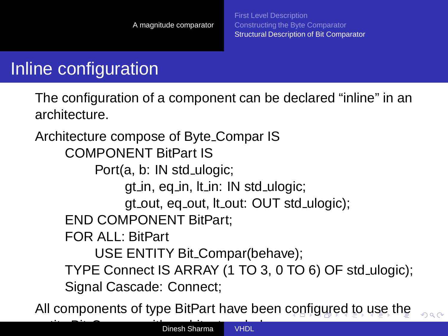<span id="page-114-0"></span> $299$ 

# Inline configuration

The configuration of a component can be declared "inline" in an architecture.

Architecture compose of Byte Compar IS COMPONENT BitPart IS Port(a, b: IN std ulogic; gt in, eq in, It in: IN std ulogic; gt\_out, eq\_out, lt\_out: OUT std\_ulogic); END COMPONENT BitPart; FOR ALL: BitPart USE ENTITY Bit Compar(behave); TYPE Connect IS ARRAY (1 TO 3, 0 TO 6) OF std ulogic); Signal Cascade: Connect;

All components of type BitPart have been [co](#page-113-0)[nfi](#page-115-0)[g](#page-113-0)[ur](#page-114-0)[e](#page-115-0)[d](#page-109-0) [t](#page-110-0)[o](#page-119-0) [u](#page-97-0)[s](#page-98-0)[e](#page-119-0) [th](#page-0-0)[e](#page-132-0)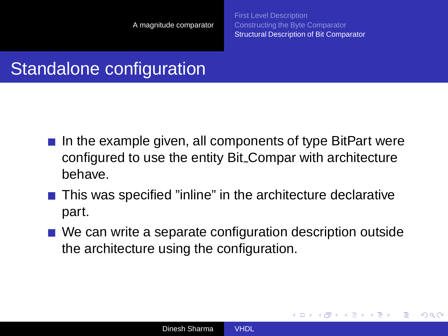[First Level Description](#page-100-0) [Constructing the Byte Comparator](#page-103-0) [Structural Description of Bit Comparator](#page-110-0)

<span id="page-115-0"></span>**≮ロト ⊀伊ト ⊀ ヨト ⊀ ヨト** 

 $\Omega$ 

# Standalone configuration

- In the example given, all components of type BitPart were configured to use the entity Bit Compar with architecture behave.
- This was specified "inline" in the architecture declarative part.
- We can write a separate configuration description outside the architecture using the configuration.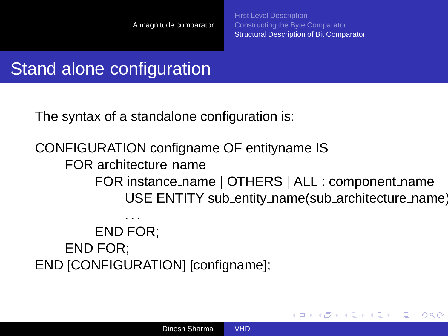**≮ロト ⊀伊ト ⊀ ヨト ⊀ ヨト** 

つくい

# Stand alone configuration

The syntax of a standalone configuration is:

CONFIGURATION configname OF entityname IS FOR architecture name FOR instance name | OTHERS | ALL : component name USE ENTITY sub\_entity\_name(sub\_architecture\_name) . . .

END FOR; END FOR; END [CONFIGURATION] [configname];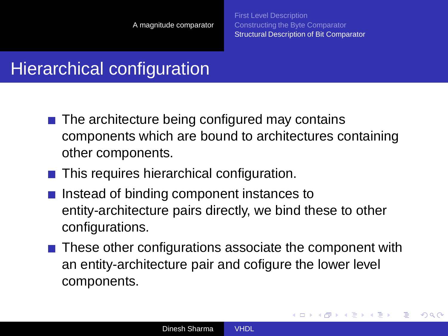イロト イ押 トイヨ トイヨト

 $2Q$ 

# Hierarchical configuration

- $\blacksquare$  The architecture being configured may contains components which are bound to architectures containing other components.
- This requires hierarchical configuration.
- $\blacksquare$  Instead of binding component instances to entity-architecture pairs directly, we bind these to other configurations.
- $\blacksquare$  These other configurations associate the component with an entity-architecture pair and cofigure the lower level components.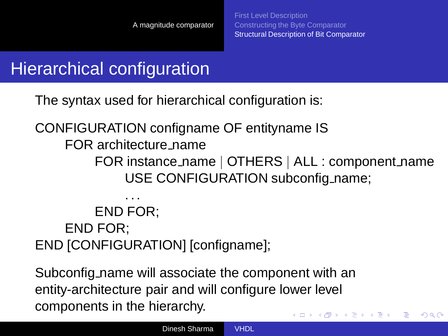# Hierarchical configuration

The syntax used for hierarchical configuration is:

CONFIGURATION configname OF entityname IS

FOR architecture name

FOR instance\_name | OTHERS | ALL : component\_name USE CONFIGURATION subconfig name;

#### . . . END FOR; END FOR; END [CONFIGURATION] [configname];

Subconfig name will associate the component with an entity-architecture pair and will configure lower level components in the hierarchy. イロト イ押 トイヨ トイヨト

 $QQ$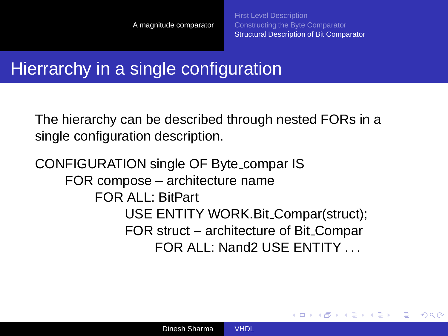<span id="page-119-0"></span>**≮ロト ⊀伊ト ⊀ ヨト ⊀ ヨト** 

つくい

### Hierrarchy in a single configuration

The hierarchy can be described through nested FORs in a single configuration description.

#### CONFIGURATION single OF Byte compar IS FOR compose – architecture name FOR ALL: BitPart USE ENTITY WORK.Bit Compar(struct); FOR struct – architecture of Bit Compar FOR ALL: Nand2 USE ENTITY . . .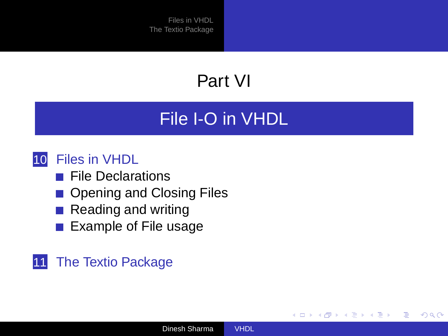# Part VI

# [File I-O in VHDL](#page-120-0)

#### 10 [Files in VHDL](#page-121-0)

- **[File Declarations](#page-122-0)**
- [Opening and Closing Files](#page-125-0)
- [Reading and writing](#page-126-0)
- **[Example of File usage](#page-128-0)**

#### 11 [The Textio Package](#page-131-0)

<span id="page-120-0"></span>**≮ロト ⊀伊ト ⊀ ヨト ⊀ ヨト** 

Þ  $QQ$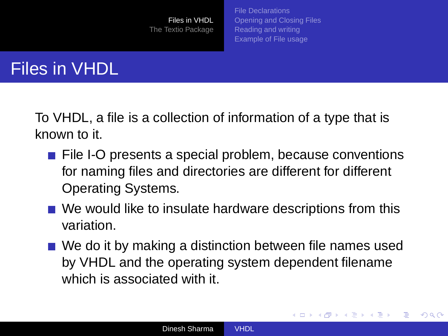[File Declarations](#page-122-0) [Opening and Closing Files](#page-125-0) [Reading and writing](#page-126-0) [Example of File usage](#page-128-0)

<span id="page-121-0"></span>イロト イ押 トイヨ トイヨト

 $\Omega$ 

### Files in VHDL

To VHDL, a file is a collection of information of a type that is known to it.

- File I-O presents a special problem, because conventions for naming files and directories are different for different Operating Systems.
- We would like to insulate hardware descriptions from this variation.
- We do it by making a distinction between file names used by VHDL and the operating system dependent filename which is associated with it.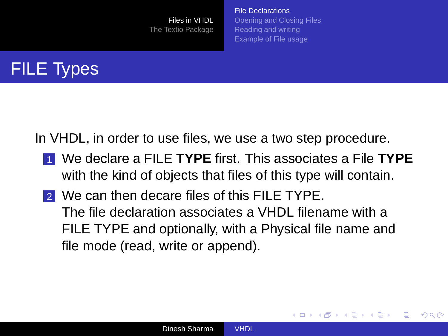[File Declarations](#page-122-0) [Opening and Closing Files](#page-125-0) [Reading and writing](#page-126-0) [Example of File usage](#page-128-0)

<span id="page-122-0"></span>**≮ロト ⊀伊ト ⊀ ヨト ⊀ ヨト** 

 $\Omega$ 

# FILE Types

In VHDL, in order to use files, we use a two step procedure.

- 1 We declare a FILE **TYPE** first. This associates a File **TYPE** with the kind of objects that files of this type will contain.
- 2 We can then decare files of this FILE TYPE. The file declaration associates a VHDL filename with a FILE TYPE and optionally, with a Physical file name and file mode (read, write or append).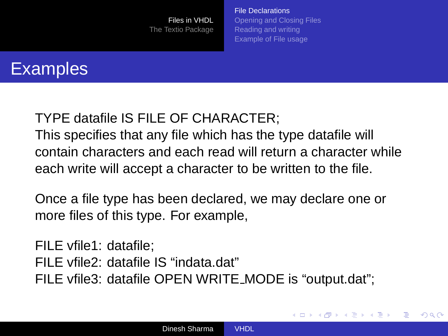[File Declarations](#page-122-0) [Opening and Closing Files](#page-125-0) [Reading and writing](#page-126-0) [Example of File usage](#page-128-0)

**≮ロト ⊀伊ト ⊀ ヨト ⊀ ヨト** 

 $QQ$ 

# **Examples**

#### TYPE datafile IS FILE OF CHARACTER;

This specifies that any file which has the type datafile will contain characters and each read will return a character while each write will accept a character to be written to the file.

Once a file type has been declared, we may declare one or more files of this type. For example,

FILE vfile1: datafile; FILE vfile2: datafile IS "indata.dat" FILE vfile3: datafile OPEN WRITE MODE is "output.dat";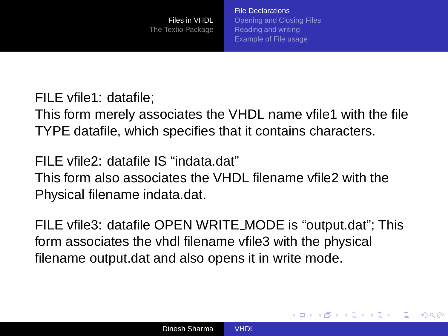[File Declarations](#page-122-0) [Opening and Closing Files](#page-125-0) [Reading and writing](#page-126-0) [Example of File usage](#page-128-0)

イロト イ押 トイヨ トイヨト

 $\Omega$ 

FILE vfile1: datafile;

This form merely associates the VHDL name vfile1 with the file TYPE datafile, which specifies that it contains characters.

FILE vfile2: datafile IS "indata.dat" This form also associates the VHDL filename vfile2 with the Physical filename indata.dat.

FILE vfile3: datafile OPEN WRITE MODE is "output.dat"; This form associates the vhdl filename vfile3 with the physical filename output.dat and also opens it in write mode.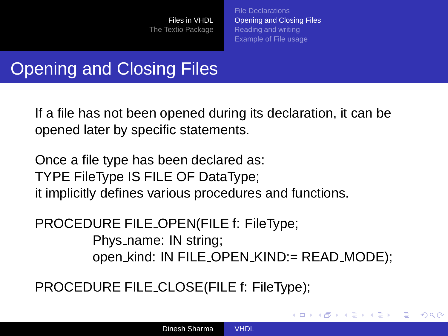[File Declarations](#page-122-0) [Opening and Closing Files](#page-125-0) [Reading and writing](#page-126-0) [Example of File usage](#page-128-0)

<span id="page-125-0"></span>K ロトメ 御 トメ 君 トメ 君 ト

つくい

# **Opening and Closing Files**

If a file has not been opened during its declaration, it can be opened later by specific statements.

Once a file type has been declared as: TYPE FileType IS FILE OF DataType; it implicitly defines various procedures and functions.

PROCEDURE FILE OPEN(FILE f: FileType; Phys\_name: IN string; open kind: IN FILE OPEN KIND:= READ MODE);

PROCEDURE FILE CLOSE(FILE f: FileType);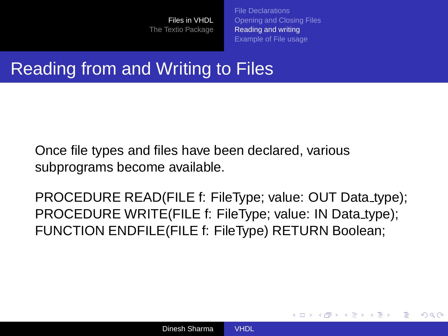[File Declarations](#page-122-0) [Opening and Closing Files](#page-125-0) [Reading and writing](#page-126-0) [Example of File usage](#page-128-0)

<span id="page-126-0"></span>**≮ロト ⊀伊ト ⊀ ヨト ⊀ ヨト** 

 $\Omega$ 

### Reading from and Writing to Files

Once file types and files have been declared, various subprograms become available.

PROCEDURE READ(FILE f: FileType; value: OUT Data type); PROCEDURE WRITE(FILE f: FileType; value: IN Data\_type); FUNCTION ENDFILE(FILE f: FileType) RETURN Boolean;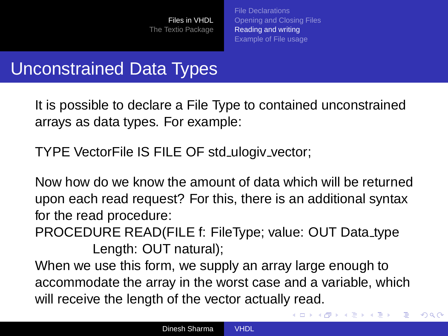[File Declarations](#page-122-0) [Opening and Closing Files](#page-125-0) [Reading and writing](#page-126-0) [Example of File usage](#page-128-0)

イロト イ押 トイヨ トイヨト

 $QQ$ 

# Unconstrained Data Types

It is possible to declare a File Type to contained unconstrained arrays as data types. For example:

TYPE VectorFile IS FILE OF std ulogiv vector;

Now how do we know the amount of data which will be returned upon each read request? For this, there is an additional syntax for the read procedure:

PROCEDURE READ(FILE f: FileType; value: OUT Data type Length: OUT natural);

When we use this form, we supply an array large enough to accommodate the array in the worst case and a variable, which will receive the length of the vector actually read.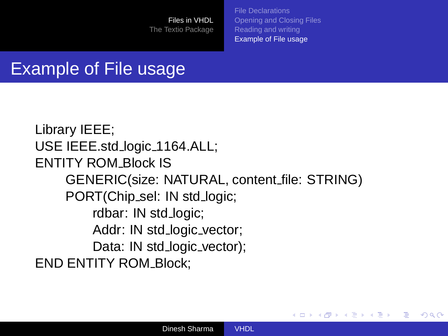[File Declarations](#page-122-0) [Opening and Closing Files](#page-125-0) [Reading and writing](#page-126-0) [Example of File usage](#page-128-0)

<span id="page-128-0"></span>イロト イ押 トイヨ トイヨト

 $QQ$ 

# Example of File usage

Library IEEE; USE IEEE.std logic 1164.ALL; ENTITY ROM Block IS GENERIC(size: NATURAL, content file: STRING) PORT(Chip\_sel: IN std\_logic; rdbar: IN std\_logic; Addr: IN std\_logic\_vector; Data: IN std\_logic\_vector); END ENTITY ROM\_Block;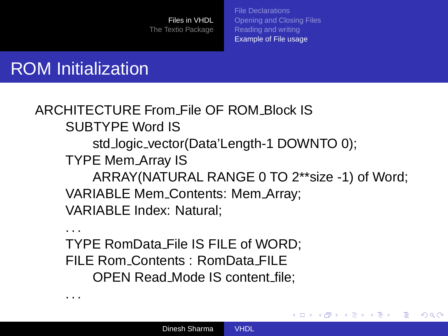[File Declarations](#page-122-0) [Opening and Closing Files](#page-125-0) [Reading and writing](#page-126-0) [Example of File usage](#page-128-0)

イロト イ押 トイヨ トイヨト

 $2Q$ 

э

# ROM Initialization

. . .

. . .

ARCHITECTURE From File OF ROM Block IS SUBTYPE Word IS std logic vector(Data'Length-1 DOWNTO 0); TYPE Mem Array IS ARRAY(NATURAL RANGE 0 TO 2\*\*size -1) of Word; VARIABLE Mem Contents: Mem Array; VARIABLE Index: Natural;

TYPE RomData File IS FILE of WORD; FILE Rom Contents : RomData FILE OPEN Read Mode IS content file;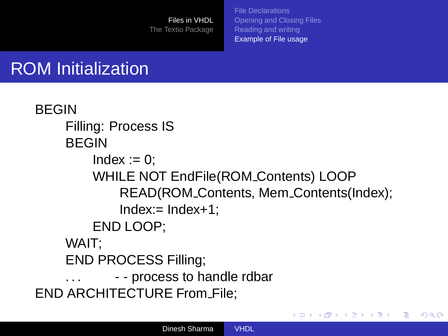[File Declarations](#page-122-0) [Opening and Closing Files](#page-125-0) [Reading and writing](#page-126-0) [Example of File usage](#page-128-0)

イロト イ押 トイヨ トイヨト

 $2Q$ 

э

# ROM Initialization

```
BEGIN
    Filling: Process IS
    BEGIN
        Index := 0;
        WHILE NOT EndFile(ROM Contents) LOOP
            READ(ROM Contents, Mem Contents(Index);
            Index:=Index+1;END LOOP;
    WAIT;
    END PROCESS Filling;
    ... - - process to handle rdbar
END ARCHITECTURE From File;
```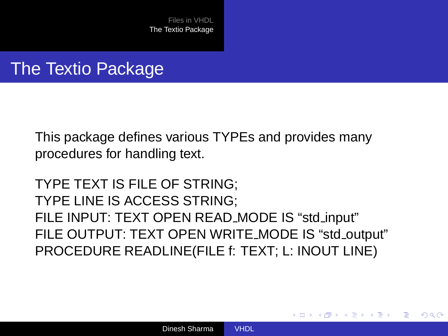### The Textio Package

This package defines various TYPEs and provides many procedures for handling text.

TYPE TEXT IS FILE OF STRING; TYPE LINE IS ACCESS STRING; FILE INPUT: TEXT OPEN READ MODE IS "std input" FILE OUTPUT: TEXT OPEN WRITE MODE IS "std\_output" PROCEDURE READLINE(FILE f: TEXT; L: INOUT LINE)

<span id="page-131-0"></span>イロト イ押 トイヨ トイヨト

 $2Q$